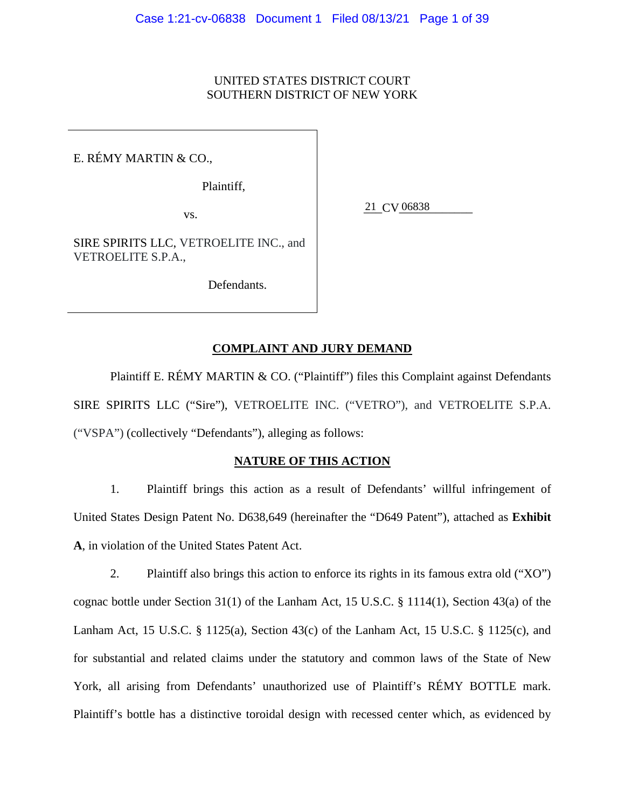## UNITED STATES DISTRICT COURT SOUTHERN DISTRICT OF NEW YORK

E. RÉMY MARTIN & CO.,

Plaintiff,

vs.

21 CV 06838

SIRE SPIRITS LLC, VETROELITE INC., and VETROELITE S.P.A.,

Defendants.

# **COMPLAINT AND JURY DEMAND**

Plaintiff E. RÉMY MARTIN & CO. ("Plaintiff") files this Complaint against Defendants SIRE SPIRITS LLC ("Sire"), VETROELITE INC. ("VETRO"), and VETROELITE S.P.A. ("VSPA") (collectively "Defendants"), alleging as follows:

# **NATURE OF THIS ACTION**

1. Plaintiff brings this action as a result of Defendants' willful infringement of United States Design Patent No. D638,649 (hereinafter the "D649 Patent"), attached as **Exhibit A**, in violation of the United States Patent Act.

2. Plaintiff also brings this action to enforce its rights in its famous extra old ("XO") cognac bottle under Section 31(1) of the Lanham Act, 15 U.S.C. § 1114(1), Section 43(a) of the Lanham Act, 15 U.S.C. § 1125(a), Section 43(c) of the Lanham Act, 15 U.S.C. § 1125(c), and for substantial and related claims under the statutory and common laws of the State of New York, all arising from Defendants' unauthorized use of Plaintiff's RÉMY BOTTLE mark. Plaintiff's bottle has a distinctive toroidal design with recessed center which, as evidenced by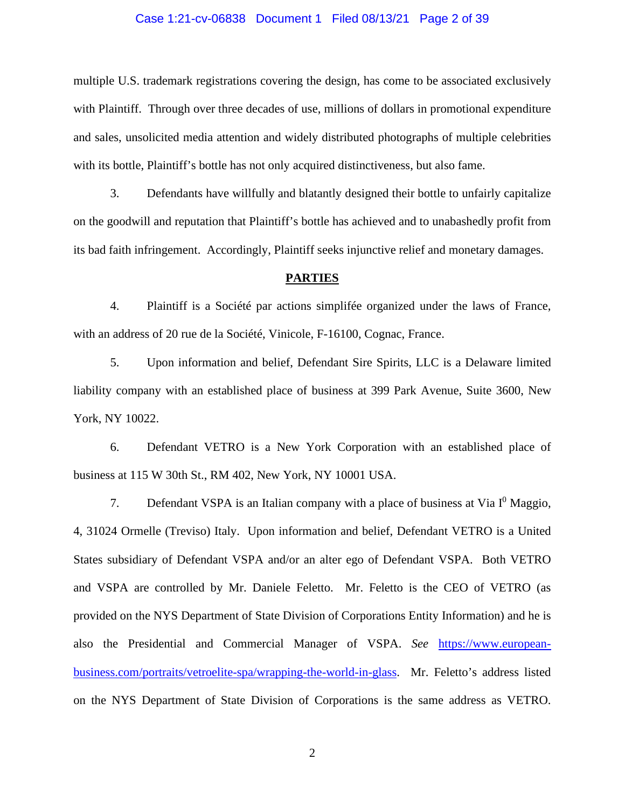#### Case 1:21-cv-06838 Document 1 Filed 08/13/21 Page 2 of 39

multiple U.S. trademark registrations covering the design, has come to be associated exclusively with Plaintiff. Through over three decades of use, millions of dollars in promotional expenditure and sales, unsolicited media attention and widely distributed photographs of multiple celebrities with its bottle, Plaintiff's bottle has not only acquired distinctiveness, but also fame.

3. Defendants have willfully and blatantly designed their bottle to unfairly capitalize on the goodwill and reputation that Plaintiff's bottle has achieved and to unabashedly profit from its bad faith infringement. Accordingly, Plaintiff seeks injunctive relief and monetary damages.

#### **PARTIES**

4. Plaintiff is a Société par actions simplifée organized under the laws of France, with an address of 20 rue de la Société, Vinicole, F-16100, Cognac, France.

5. Upon information and belief, Defendant Sire Spirits, LLC is a Delaware limited liability company with an established place of business at 399 Park Avenue, Suite 3600, New York, NY 10022.

6. Defendant VETRO is a New York Corporation with an established place of business at 115 W 30th St., RM 402, New York, NY 10001 USA.

7. Defendant VSPA is an Italian company with a place of business at Via  $I^0$  Maggio, 4, 31024 Ormelle (Treviso) Italy. Upon information and belief, Defendant VETRO is a United States subsidiary of Defendant VSPA and/or an alter ego of Defendant VSPA. Both VETRO and VSPA are controlled by Mr. Daniele Feletto. Mr. Feletto is the CEO of VETRO (as provided on the NYS Department of State Division of Corporations Entity Information) and he is also the Presidential and Commercial Manager of VSPA. *See* https://www.europeanbusiness.com/portraits/vetroelite-spa/wrapping-the-world-in-glass. Mr. Feletto's address listed on the NYS Department of State Division of Corporations is the same address as VETRO.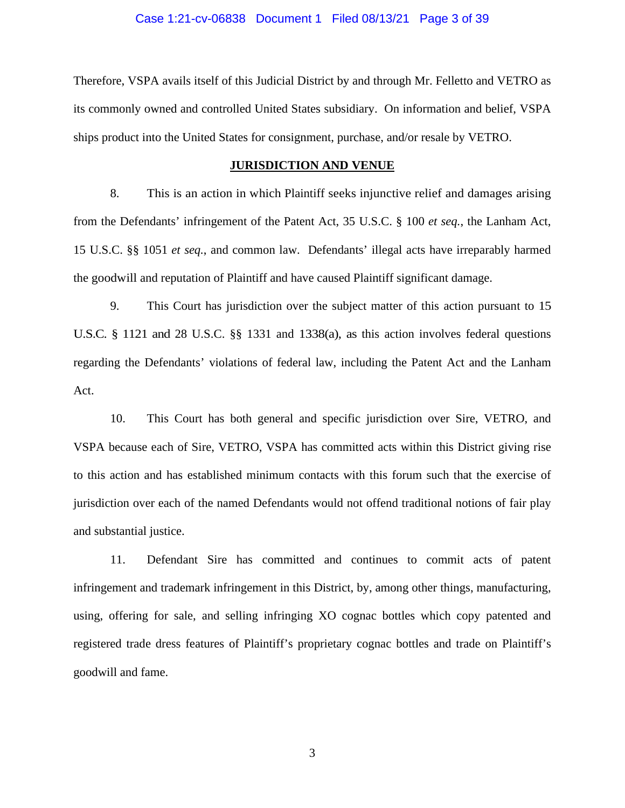Therefore, VSPA avails itself of this Judicial District by and through Mr. Felletto and VETRO as its commonly owned and controlled United States subsidiary. On information and belief, VSPA ships product into the United States for consignment, purchase, and/or resale by VETRO.

#### **JURISDICTION AND VENUE**

8. This is an action in which Plaintiff seeks injunctive relief and damages arising from the Defendants' infringement of the Patent Act, 35 U.S.C. § 100 *et seq.*, the Lanham Act, 15 U.S.C. §§ 1051 *et seq.*, and common law. Defendants' illegal acts have irreparably harmed the goodwill and reputation of Plaintiff and have caused Plaintiff significant damage.

9. This Court has jurisdiction over the subject matter of this action pursuant to 15 U.S.C. § 1121 and 28 U.S.C. §§ 1331 and 1338(a), as this action involves federal questions regarding the Defendants' violations of federal law, including the Patent Act and the Lanham Act.

10. This Court has both general and specific jurisdiction over Sire, VETRO, and VSPA because each of Sire, VETRO, VSPA has committed acts within this District giving rise to this action and has established minimum contacts with this forum such that the exercise of jurisdiction over each of the named Defendants would not offend traditional notions of fair play and substantial justice.

11. Defendant Sire has committed and continues to commit acts of patent infringement and trademark infringement in this District, by, among other things, manufacturing, using, offering for sale, and selling infringing XO cognac bottles which copy patented and registered trade dress features of Plaintiff's proprietary cognac bottles and trade on Plaintiff's goodwill and fame.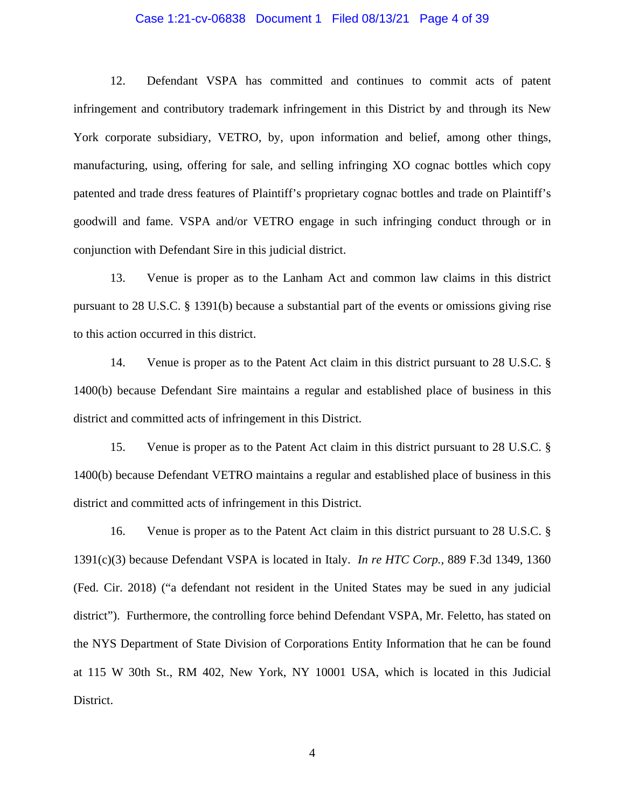### Case 1:21-cv-06838 Document 1 Filed 08/13/21 Page 4 of 39

12. Defendant VSPA has committed and continues to commit acts of patent infringement and contributory trademark infringement in this District by and through its New York corporate subsidiary, VETRO, by, upon information and belief, among other things, manufacturing, using, offering for sale, and selling infringing XO cognac bottles which copy patented and trade dress features of Plaintiff's proprietary cognac bottles and trade on Plaintiff's goodwill and fame. VSPA and/or VETRO engage in such infringing conduct through or in conjunction with Defendant Sire in this judicial district.

13. Venue is proper as to the Lanham Act and common law claims in this district pursuant to 28 U.S.C. § 1391(b) because a substantial part of the events or omissions giving rise to this action occurred in this district.

14. Venue is proper as to the Patent Act claim in this district pursuant to 28 U.S.C. § 1400(b) because Defendant Sire maintains a regular and established place of business in this district and committed acts of infringement in this District.

15. Venue is proper as to the Patent Act claim in this district pursuant to 28 U.S.C. § 1400(b) because Defendant VETRO maintains a regular and established place of business in this district and committed acts of infringement in this District.

16. Venue is proper as to the Patent Act claim in this district pursuant to 28 U.S.C. § 1391(c)(3) because Defendant VSPA is located in Italy. *In re HTC Corp.*, 889 F.3d 1349, 1360 (Fed. Cir. 2018) ("a defendant not resident in the United States may be sued in any judicial district"). Furthermore, the controlling force behind Defendant VSPA, Mr. Feletto, has stated on the NYS Department of State Division of Corporations Entity Information that he can be found at 115 W 30th St., RM 402, New York, NY 10001 USA, which is located in this Judicial District.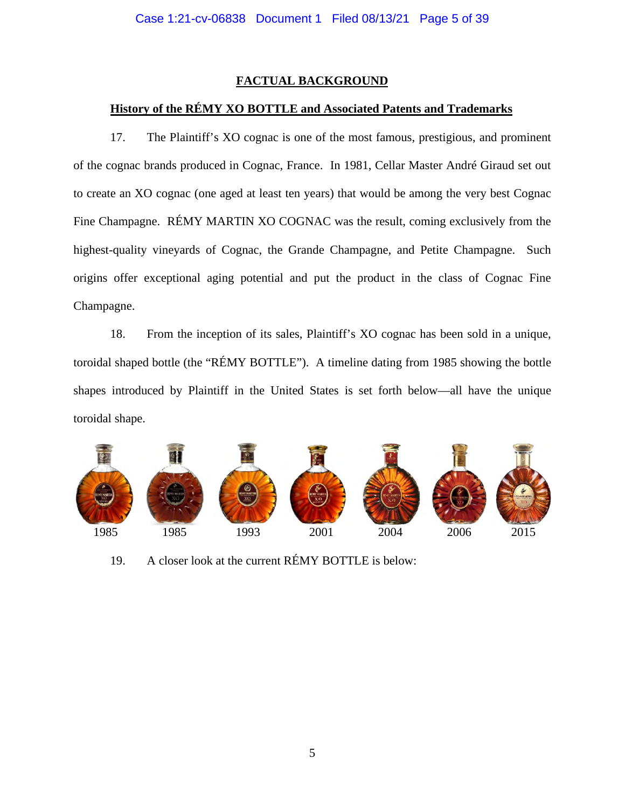## **FACTUAL BACKGROUND**

# **History of the RÉMY XO BOTTLE and Associated Patents and Trademarks**

17. The Plaintiff's XO cognac is one of the most famous, prestigious, and prominent of the cognac brands produced in Cognac, France. In 1981, Cellar Master André Giraud set out to create an XO cognac (one aged at least ten years) that would be among the very best Cognac Fine Champagne. RÉMY MARTIN XO COGNAC was the result, coming exclusively from the highest-quality vineyards of Cognac, the Grande Champagne, and Petite Champagne. Such origins offer exceptional aging potential and put the product in the class of Cognac Fine Champagne.

18. From the inception of its sales, Plaintiff's XO cognac has been sold in a unique, toroidal shaped bottle (the "RÉMY BOTTLE"). A timeline dating from 1985 showing the bottle shapes introduced by Plaintiff in the United States is set forth below—all have the unique toroidal shape.



19. A closer look at the current RÉMY BOTTLE is below: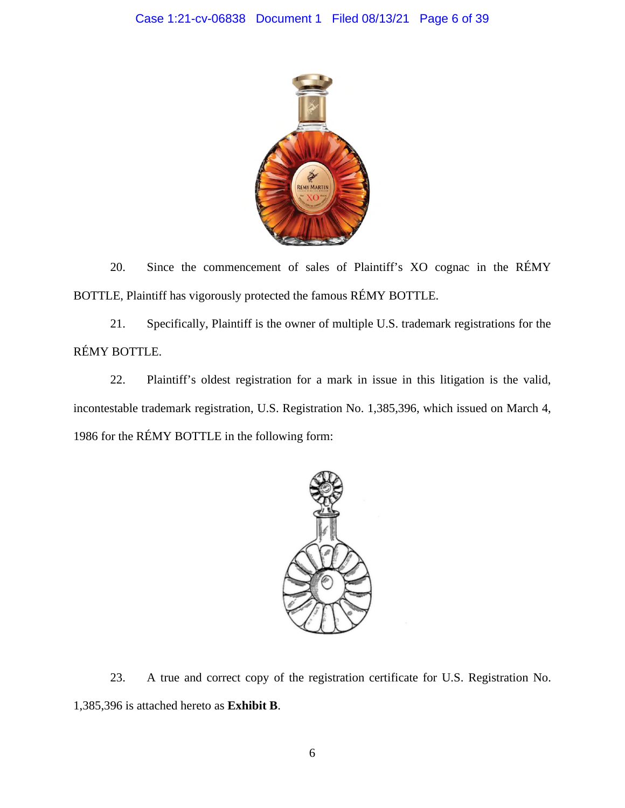

20. Since the commencement of sales of Plaintiff's XO cognac in the RÉMY BOTTLE, Plaintiff has vigorously protected the famous RÉMY BOTTLE.

21. Specifically, Plaintiff is the owner of multiple U.S. trademark registrations for the RÉMY BOTTLE.

22. Plaintiff's oldest registration for a mark in issue in this litigation is the valid, incontestable trademark registration, U.S. Registration No. 1,385,396, which issued on March 4, 1986 for the RÉMY BOTTLE in the following form:



23. A true and correct copy of the registration certificate for U.S. Registration No. 1,385,396 is attached hereto as **Exhibit B**.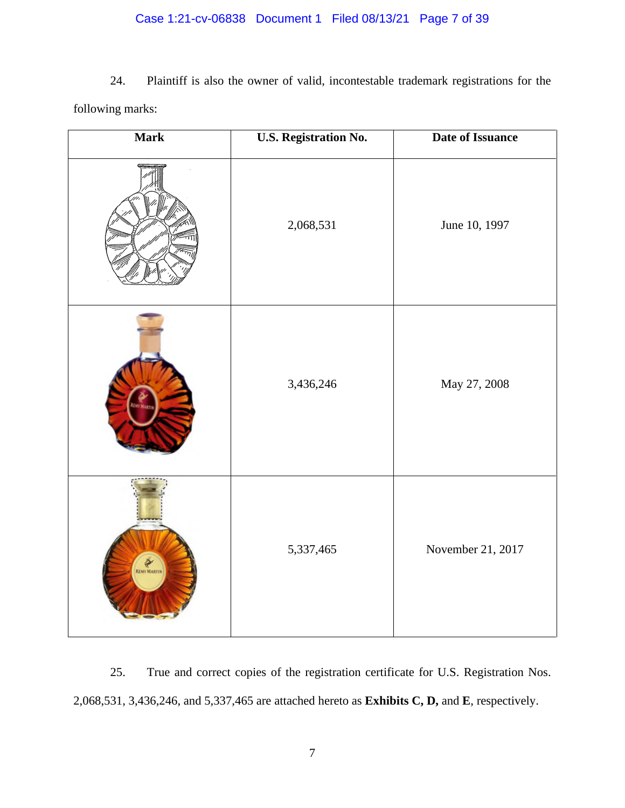# Case 1:21-cv-06838 Document 1 Filed 08/13/21 Page 7 of 39

24. Plaintiff is also the owner of valid, incontestable trademark registrations for the following marks:

| <b>Mark</b> | <b>U.S. Registration No.</b> | Date of Issuance  |
|-------------|------------------------------|-------------------|
|             | 2,068,531                    | June 10, 1997     |
|             | 3,436,246                    | May 27, 2008      |
| REMY MARTIN | 5,337,465                    | November 21, 2017 |

25. True and correct copies of the registration certificate for U.S. Registration Nos. 2,068,531, 3,436,246, and 5,337,465 are attached hereto as **Exhibits C, D,** and **E**, respectively.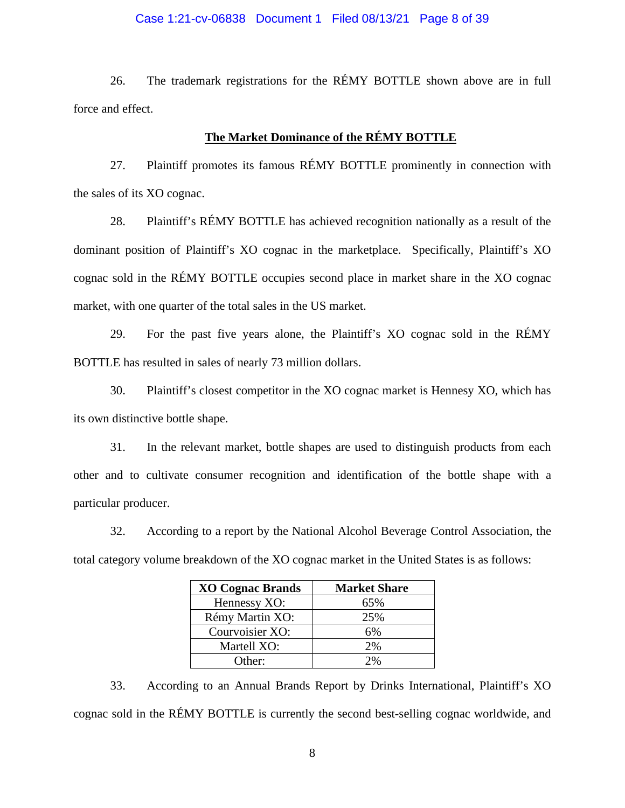#### Case 1:21-cv-06838 Document 1 Filed 08/13/21 Page 8 of 39

26. The trademark registrations for the RÉMY BOTTLE shown above are in full force and effect.

# **The Market Dominance of the RÉMY BOTTLE**

27. Plaintiff promotes its famous RÉMY BOTTLE prominently in connection with the sales of its XO cognac.

28. Plaintiff's RÉMY BOTTLE has achieved recognition nationally as a result of the dominant position of Plaintiff's XO cognac in the marketplace. Specifically, Plaintiff's XO cognac sold in the RÉMY BOTTLE occupies second place in market share in the XO cognac market, with one quarter of the total sales in the US market.

29. For the past five years alone, the Plaintiff's XO cognac sold in the RÉMY BOTTLE has resulted in sales of nearly 73 million dollars.

30. Plaintiff's closest competitor in the XO cognac market is Hennesy XO, which has its own distinctive bottle shape.

31. In the relevant market, bottle shapes are used to distinguish products from each other and to cultivate consumer recognition and identification of the bottle shape with a particular producer.

32. According to a report by the National Alcohol Beverage Control Association, the total category volume breakdown of the XO cognac market in the United States is as follows:

| <b>XO Cognac Brands</b> | <b>Market Share</b> |
|-------------------------|---------------------|
| Hennessy XO:            | 65%                 |
| Rémy Martin XO:         | 25%                 |
| Courvoisier XO:         | 6%                  |
| Martell XO:             | 2%                  |
| Other:                  | 2%                  |

33. According to an Annual Brands Report by Drinks International, Plaintiff's XO cognac sold in the RÉMY BOTTLE is currently the second best-selling cognac worldwide, and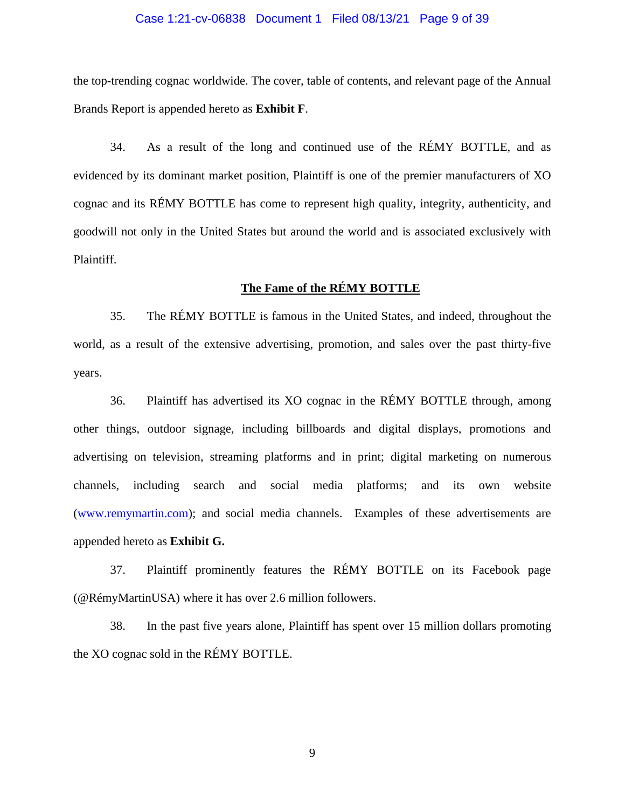#### Case 1:21-cv-06838 Document 1 Filed 08/13/21 Page 9 of 39

the top-trending cognac worldwide. The cover, table of contents, and relevant page of the Annual Brands Report is appended hereto as **Exhibit F**.

34. As a result of the long and continued use of the RÉMY BOTTLE, and as evidenced by its dominant market position, Plaintiff is one of the premier manufacturers of XO cognac and its RÉMY BOTTLE has come to represent high quality, integrity, authenticity, and goodwill not only in the United States but around the world and is associated exclusively with Plaintiff.

# **The Fame of the RÉMY BOTTLE**

35. The RÉMY BOTTLE is famous in the United States, and indeed, throughout the world, as a result of the extensive advertising, promotion, and sales over the past thirty-five years.

36. Plaintiff has advertised its XO cognac in the RÉMY BOTTLE through, among other things, outdoor signage, including billboards and digital displays, promotions and advertising on television, streaming platforms and in print; digital marketing on numerous channels, including search and social media platforms; and its own website (www.remymartin.com); and social media channels. Examples of these advertisements are appended hereto as **Exhibit G.**

37. Plaintiff prominently features the RÉMY BOTTLE on its Facebook page (@RémyMartinUSA) where it has over 2.6 million followers.

38. In the past five years alone, Plaintiff has spent over 15 million dollars promoting the XO cognac sold in the RÉMY BOTTLE.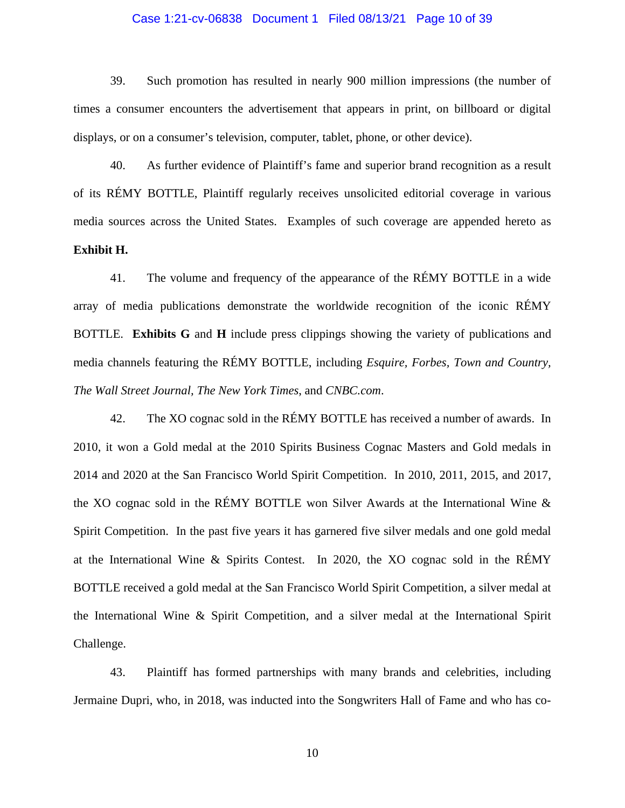#### Case 1:21-cv-06838 Document 1 Filed 08/13/21 Page 10 of 39

39. Such promotion has resulted in nearly 900 million impressions (the number of times a consumer encounters the advertisement that appears in print, on billboard or digital displays, or on a consumer's television, computer, tablet, phone, or other device).

40. As further evidence of Plaintiff's fame and superior brand recognition as a result of its RÉMY BOTTLE, Plaintiff regularly receives unsolicited editorial coverage in various media sources across the United States. Examples of such coverage are appended hereto as **Exhibit H.**

41. The volume and frequency of the appearance of the RÉMY BOTTLE in a wide array of media publications demonstrate the worldwide recognition of the iconic RÉMY BOTTLE. **Exhibits G** and **H** include press clippings showing the variety of publications and media channels featuring the RÉMY BOTTLE, including *Esquire, Forbes, Town and Country, The Wall Street Journal, The New York Times*, and *CNBC.com*.

42. The XO cognac sold in the RÉMY BOTTLE has received a number of awards. In 2010, it won a Gold medal at the 2010 Spirits Business Cognac Masters and Gold medals in 2014 and 2020 at the San Francisco World Spirit Competition. In 2010, 2011, 2015, and 2017, the XO cognac sold in the RÉMY BOTTLE won Silver Awards at the International Wine & Spirit Competition. In the past five years it has garnered five silver medals and one gold medal at the International Wine & Spirits Contest. In 2020, the XO cognac sold in the RÉMY BOTTLE received a gold medal at the San Francisco World Spirit Competition, a silver medal at the International Wine & Spirit Competition, and a silver medal at the International Spirit Challenge.

43. Plaintiff has formed partnerships with many brands and celebrities, including Jermaine Dupri, who, in 2018, was inducted into the Songwriters Hall of Fame and who has co-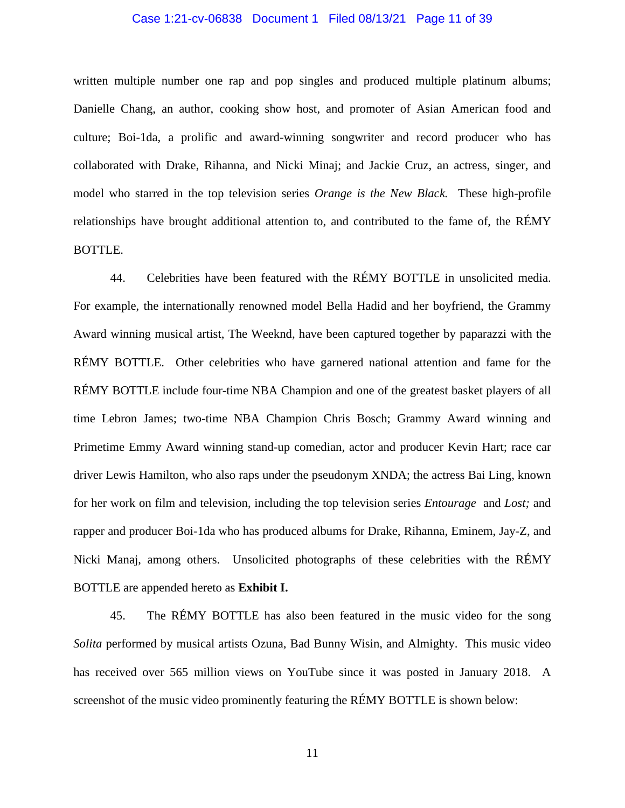### Case 1:21-cv-06838 Document 1 Filed 08/13/21 Page 11 of 39

written multiple number one rap and pop singles and produced multiple platinum albums; Danielle Chang, an author, cooking show host, and promoter of Asian American food and culture; Boi-1da, a prolific and award-winning songwriter and record producer who has collaborated with Drake, Rihanna, and Nicki Minaj; and Jackie Cruz, an actress, singer, and model who starred in the top television series *Orange is the New Black.* These high-profile relationships have brought additional attention to, and contributed to the fame of, the RÉMY BOTTLE.

44. Celebrities have been featured with the RÉMY BOTTLE in unsolicited media. For example, the internationally renowned model Bella Hadid and her boyfriend, the Grammy Award winning musical artist, The Weeknd, have been captured together by paparazzi with the RÉMY BOTTLE. Other celebrities who have garnered national attention and fame for the RÉMY BOTTLE include four-time NBA Champion and one of the greatest basket players of all time Lebron James; two-time NBA Champion Chris Bosch; Grammy Award winning and Primetime Emmy Award winning stand-up comedian, actor and producer Kevin Hart; race car driver Lewis Hamilton, who also raps under the pseudonym XNDA; the actress Bai Ling, known for her work on film and television, including the top television series *Entourage* and *Lost;* and rapper and producer Boi-1da who has produced albums for Drake, Rihanna, Eminem, Jay-Z, and Nicki Manaj, among others. Unsolicited photographs of these celebrities with the RÉMY BOTTLE are appended hereto as **Exhibit I.**

45. The RÉMY BOTTLE has also been featured in the music video for the song *Solita* performed by musical artists Ozuna, Bad Bunny Wisin, and Almighty. This music video has received over 565 million views on YouTube since it was posted in January 2018. A screenshot of the music video prominently featuring the RÉMY BOTTLE is shown below: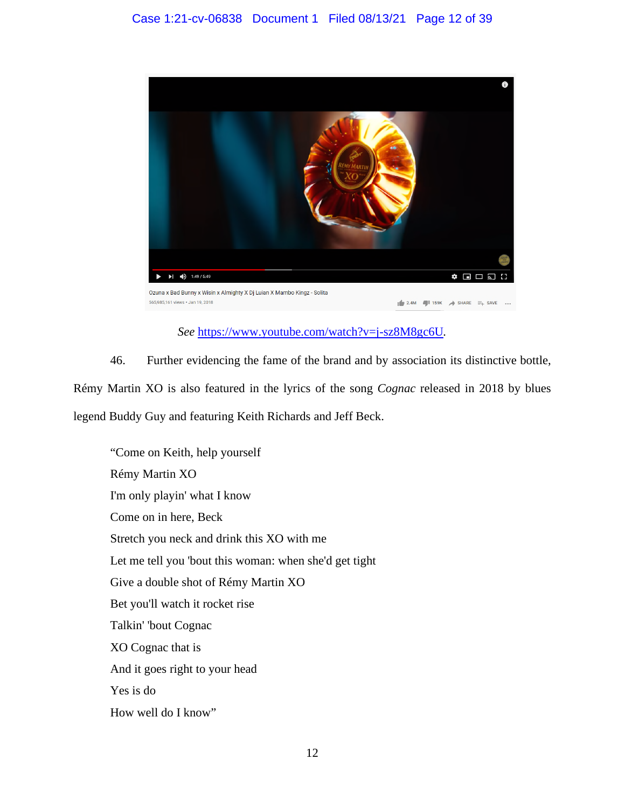

*See* https://www.youtube.com/watch?v=j-sz8M8gc6U*.*

46. Further evidencing the fame of the brand and by association its distinctive bottle, Rémy Martin XO is also featured in the lyrics of the song *Cognac* released in 2018 by blues legend Buddy Guy and featuring Keith Richards and Jeff Beck.

"Come on Keith, help yourself Rémy Martin XO I'm only playin' what I know Come on in here, Beck Stretch you neck and drink this XO with me Let me tell you 'bout this woman: when she'd get tight Give a double shot of Rémy Martin XO Bet you'll watch it rocket rise Talkin' 'bout Cognac XO Cognac that is And it goes right to your head Yes is do How well do I know"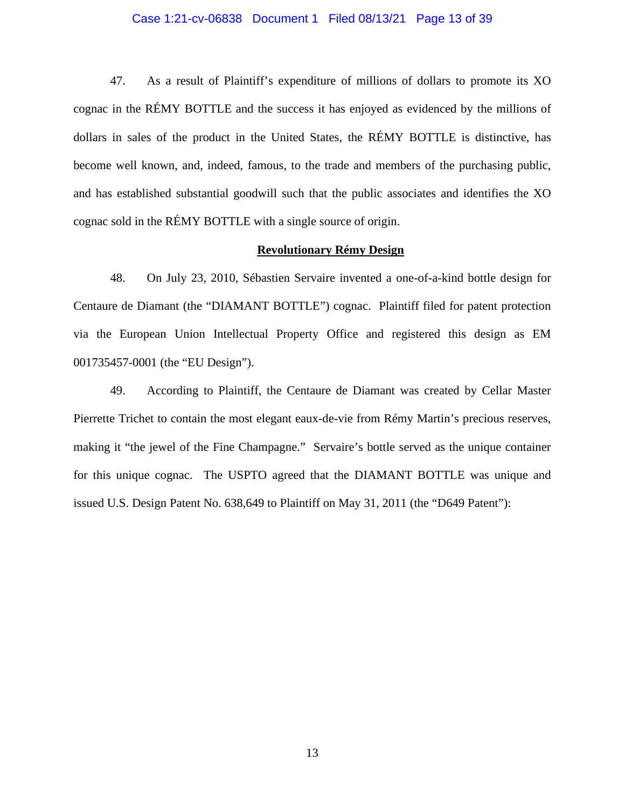#### Case 1:21-cv-06838 Document 1 Filed 08/13/21 Page 13 of 39

47. As a result of Plaintiff's expenditure of millions of dollars to promote its XO cognac in the RÉMY BOTTLE and the success it has enjoyed as evidenced by the millions of dollars in sales of the product in the United States, the RÉMY BOTTLE is distinctive, has become well known, and, indeed, famous, to the trade and members of the purchasing public, and has established substantial goodwill such that the public associates and identifies the XO cognac sold in the RÉMY BOTTLE with a single source of origin.

#### **Revolutionary Rémy Design**

48. On July 23, 2010, Sébastien Servaire invented a one-of-a-kind bottle design for Centaure de Diamant (the "DIAMANT BOTTLE") cognac. Plaintiff filed for patent protection via the European Union Intellectual Property Office and registered this design as EM 001735457-0001 (the "EU Design").

49. According to Plaintiff, the Centaure de Diamant was created by Cellar Master Pierrette Trichet to contain the most elegant eaux-de-vie from Rémy Martin's precious reserves, making it "the jewel of the Fine Champagne." Servaire's bottle served as the unique container for this unique cognac. The USPTO agreed that the DIAMANT BOTTLE was unique and issued U.S. Design Patent No. 638,649 to Plaintiff on May 31, 2011 (the "D649 Patent"):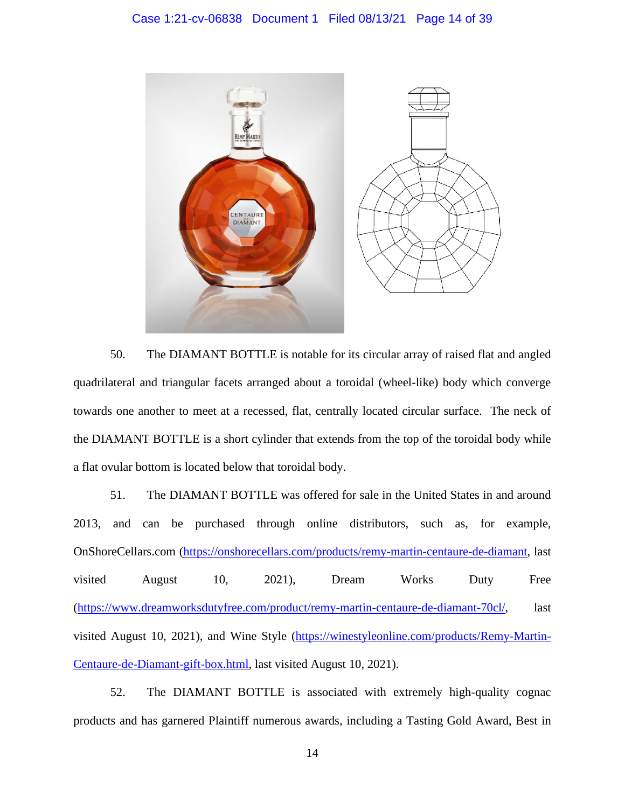#### Case 1:21-cv-06838 Document 1 Filed 08/13/21 Page 14 of 39



50. The DIAMANT BOTTLE is notable for its circular array of raised flat and angled quadrilateral and triangular facets arranged about a toroidal (wheel-like) body which converge towards one another to meet at a recessed, flat, centrally located circular surface. The neck of the DIAMANT BOTTLE is a short cylinder that extends from the top of the toroidal body while a flat ovular bottom is located below that toroidal body.

51. The DIAMANT BOTTLE was offered for sale in the United States in and around 2013, and can be purchased through online distributors, such as, for example, OnShoreCellars.com (https://onshorecellars.com/products/remy-martin-centaure-de-diamant, last visited August 10, 2021), Dream Works Duty Free (https://www.dreamworksdutyfree.com/product/remy-martin-centaure-de-diamant-70cl/, last visited August 10, 2021), and Wine Style (https://winestyleonline.com/products/Remy-Martin-Centaure-de-Diamant-gift-box.html, last visited August 10, 2021).

52. The DIAMANT BOTTLE is associated with extremely high-quality cognac products and has garnered Plaintiff numerous awards, including a Tasting Gold Award, Best in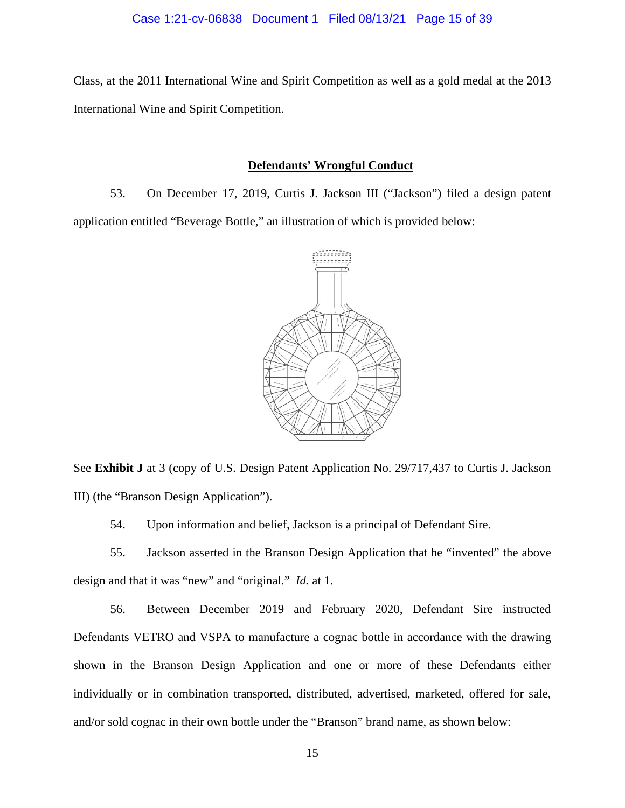Class, at the 2011 International Wine and Spirit Competition as well as a gold medal at the 2013 International Wine and Spirit Competition.

### **Defendants' Wrongful Conduct**

53. On December 17, 2019, Curtis J. Jackson III ("Jackson") filed a design patent application entitled "Beverage Bottle," an illustration of which is provided below:



See **Exhibit J** at 3 (copy of U.S. Design Patent Application No. 29/717,437 to Curtis J. Jackson III) (the "Branson Design Application").

54. Upon information and belief, Jackson is a principal of Defendant Sire.

55. Jackson asserted in the Branson Design Application that he "invented" the above design and that it was "new" and "original." *Id.* at 1.

56. Between December 2019 and February 2020, Defendant Sire instructed Defendants VETRO and VSPA to manufacture a cognac bottle in accordance with the drawing shown in the Branson Design Application and one or more of these Defendants either individually or in combination transported, distributed, advertised, marketed, offered for sale, and/or sold cognac in their own bottle under the "Branson" brand name, as shown below: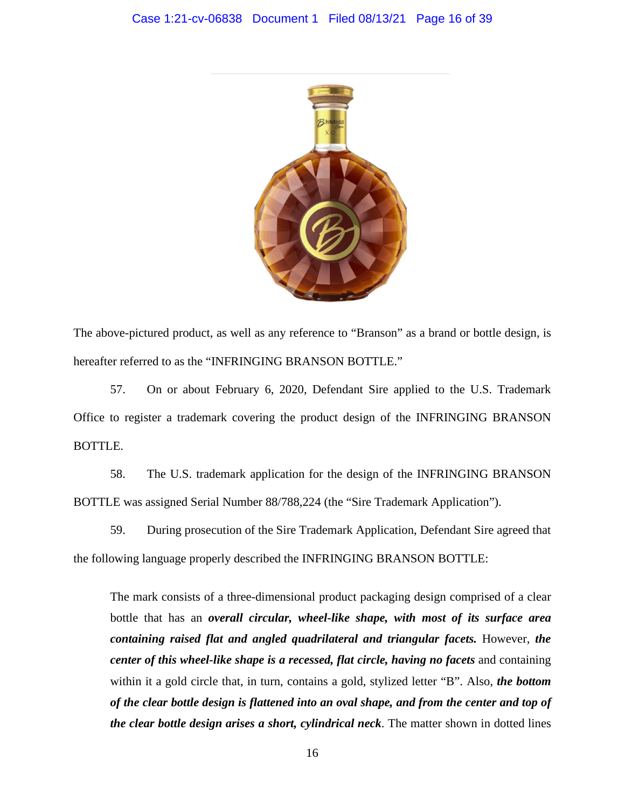

The above-pictured product, as well as any reference to "Branson" as a brand or bottle design, is hereafter referred to as the "INFRINGING BRANSON BOTTLE."

57. On or about February 6, 2020, Defendant Sire applied to the U.S. Trademark Office to register a trademark covering the product design of the INFRINGING BRANSON BOTTLE.

58. The U.S. trademark application for the design of the INFRINGING BRANSON BOTTLE was assigned Serial Number 88/788,224 (the "Sire Trademark Application").

59. During prosecution of the Sire Trademark Application, Defendant Sire agreed that the following language properly described the INFRINGING BRANSON BOTTLE:

The mark consists of a three-dimensional product packaging design comprised of a clear bottle that has an *overall circular, wheel-like shape, with most of its surface area containing raised flat and angled quadrilateral and triangular facets.* However, *the center of this wheel-like shape is a recessed, flat circle, having no facets* and containing within it a gold circle that, in turn, contains a gold, stylized letter "B". Also, *the bottom of the clear bottle design is flattened into an oval shape, and from the center and top of the clear bottle design arises a short, cylindrical neck*. The matter shown in dotted lines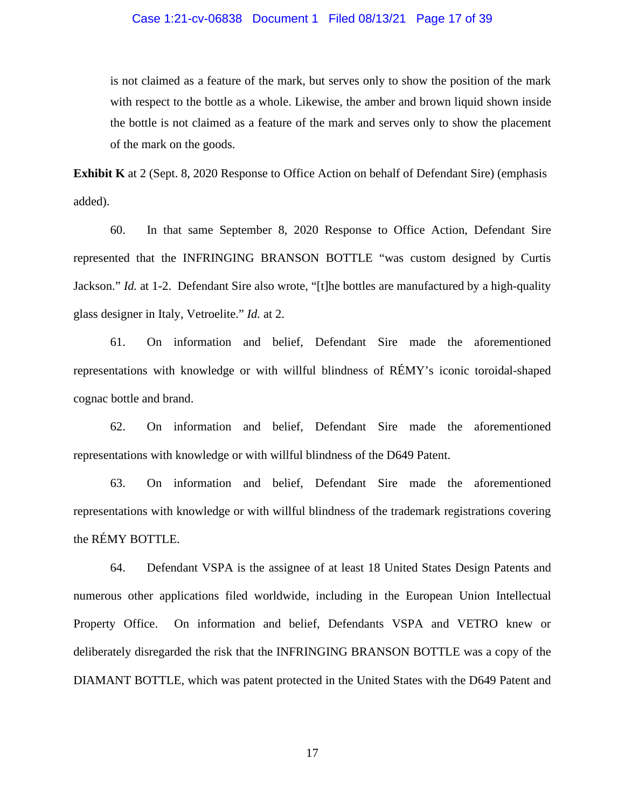#### Case 1:21-cv-06838 Document 1 Filed 08/13/21 Page 17 of 39

is not claimed as a feature of the mark, but serves only to show the position of the mark with respect to the bottle as a whole. Likewise, the amber and brown liquid shown inside the bottle is not claimed as a feature of the mark and serves only to show the placement of the mark on the goods.

**Exhibit K** at 2 (Sept. 8, 2020 Response to Office Action on behalf of Defendant Sire) (emphasis added).

60. In that same September 8, 2020 Response to Office Action, Defendant Sire represented that the INFRINGING BRANSON BOTTLE "was custom designed by Curtis Jackson." *Id.* at 1-2. Defendant Sire also wrote, "[t]he bottles are manufactured by a high-quality glass designer in Italy, Vetroelite." *Id.* at 2.

61. On information and belief, Defendant Sire made the aforementioned representations with knowledge or with willful blindness of RÉMY's iconic toroidal-shaped cognac bottle and brand.

62. On information and belief, Defendant Sire made the aforementioned representations with knowledge or with willful blindness of the D649 Patent.

63. On information and belief, Defendant Sire made the aforementioned representations with knowledge or with willful blindness of the trademark registrations covering the RÉMY BOTTLE.

64. Defendant VSPA is the assignee of at least 18 United States Design Patents and numerous other applications filed worldwide, including in the European Union Intellectual Property Office. On information and belief, Defendants VSPA and VETRO knew or deliberately disregarded the risk that the INFRINGING BRANSON BOTTLE was a copy of the DIAMANT BOTTLE, which was patent protected in the United States with the D649 Patent and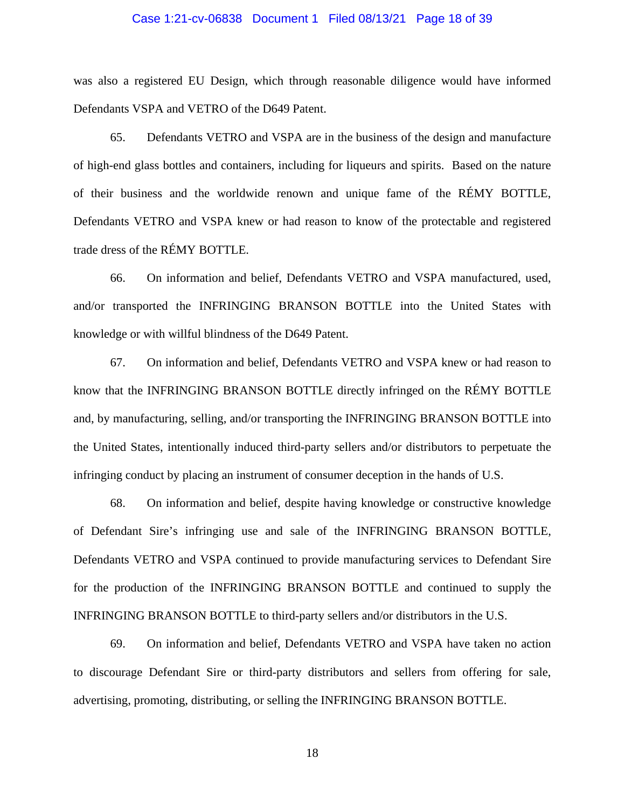#### Case 1:21-cv-06838 Document 1 Filed 08/13/21 Page 18 of 39

was also a registered EU Design, which through reasonable diligence would have informed Defendants VSPA and VETRO of the D649 Patent.

65. Defendants VETRO and VSPA are in the business of the design and manufacture of high-end glass bottles and containers, including for liqueurs and spirits. Based on the nature of their business and the worldwide renown and unique fame of the RÉMY BOTTLE, Defendants VETRO and VSPA knew or had reason to know of the protectable and registered trade dress of the RÉMY BOTTLE.

66. On information and belief, Defendants VETRO and VSPA manufactured, used, and/or transported the INFRINGING BRANSON BOTTLE into the United States with knowledge or with willful blindness of the D649 Patent.

67. On information and belief, Defendants VETRO and VSPA knew or had reason to know that the INFRINGING BRANSON BOTTLE directly infringed on the RÉMY BOTTLE and, by manufacturing, selling, and/or transporting the INFRINGING BRANSON BOTTLE into the United States, intentionally induced third-party sellers and/or distributors to perpetuate the infringing conduct by placing an instrument of consumer deception in the hands of U.S.

68. On information and belief, despite having knowledge or constructive knowledge of Defendant Sire's infringing use and sale of the INFRINGING BRANSON BOTTLE, Defendants VETRO and VSPA continued to provide manufacturing services to Defendant Sire for the production of the INFRINGING BRANSON BOTTLE and continued to supply the INFRINGING BRANSON BOTTLE to third-party sellers and/or distributors in the U.S.

69. On information and belief, Defendants VETRO and VSPA have taken no action to discourage Defendant Sire or third-party distributors and sellers from offering for sale, advertising, promoting, distributing, or selling the INFRINGING BRANSON BOTTLE.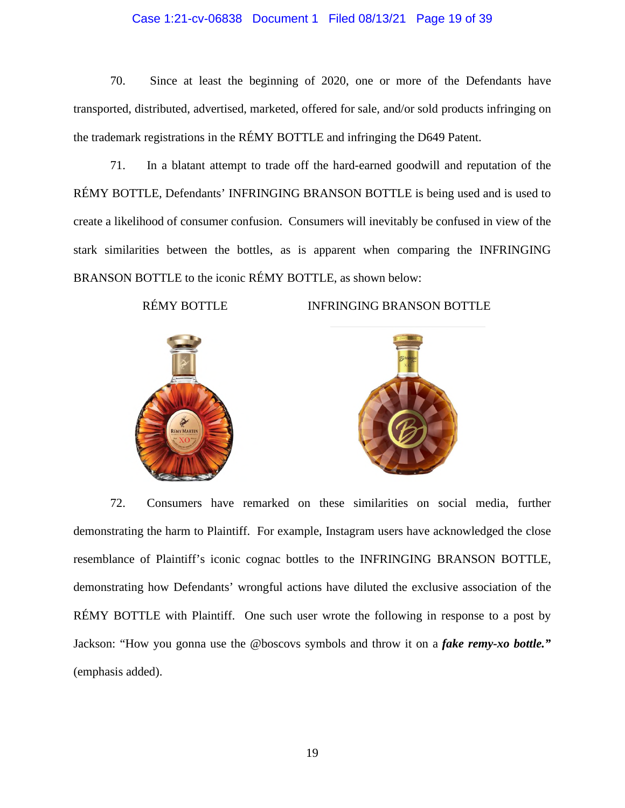### Case 1:21-cv-06838 Document 1 Filed 08/13/21 Page 19 of 39

70. Since at least the beginning of 2020, one or more of the Defendants have transported, distributed, advertised, marketed, offered for sale, and/or sold products infringing on the trademark registrations in the RÉMY BOTTLE and infringing the D649 Patent.

71. In a blatant attempt to trade off the hard-earned goodwill and reputation of the RÉMY BOTTLE, Defendants' INFRINGING BRANSON BOTTLE is being used and is used to create a likelihood of consumer confusion. Consumers will inevitably be confused in view of the stark similarities between the bottles, as is apparent when comparing the INFRINGING BRANSON BOTTLE to the iconic RÉMY BOTTLE, as shown below:

RÉMY BOTTLE INFRINGING BRANSON BOTTLE





72. Consumers have remarked on these similarities on social media, further demonstrating the harm to Plaintiff. For example, Instagram users have acknowledged the close resemblance of Plaintiff's iconic cognac bottles to the INFRINGING BRANSON BOTTLE, demonstrating how Defendants' wrongful actions have diluted the exclusive association of the RÉMY BOTTLE with Plaintiff. One such user wrote the following in response to a post by Jackson: "How you gonna use the @boscovs symbols and throw it on a *fake remy-xo bottle."* (emphasis added).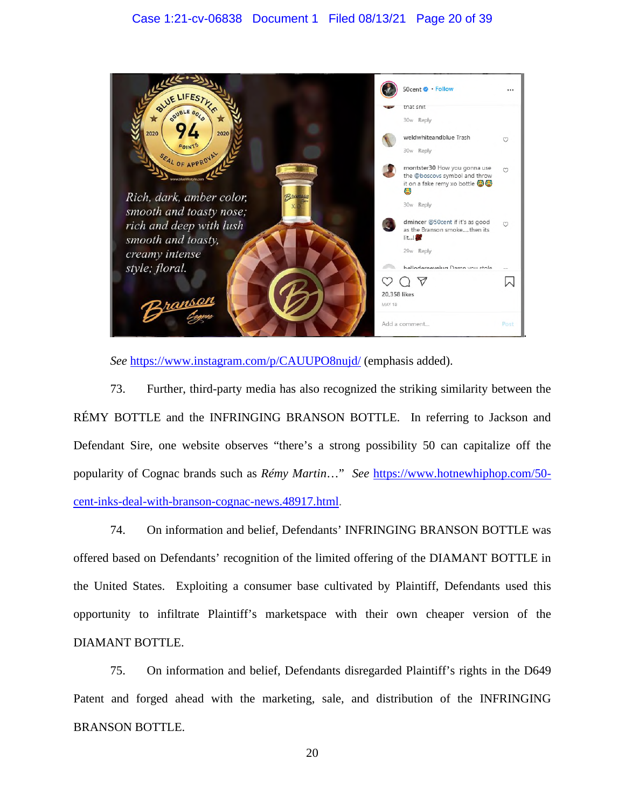## Case 1:21-cv-06838 Document 1 Filed 08/13/21 Page 20 of 39



*See* https://www.instagram.com/p/CAUUPO8nujd/ (emphasis added).

73. Further, third-party media has also recognized the striking similarity between the RÉMY BOTTLE and the INFRINGING BRANSON BOTTLE. In referring to Jackson and Defendant Sire, one website observes "there's a strong possibility 50 can capitalize off the popularity of Cognac brands such as *Rémy Martin*…" *See* https://www.hotnewhiphop.com/50 cent-inks-deal-with-branson-cognac-news.48917.html.

74. On information and belief, Defendants' INFRINGING BRANSON BOTTLE was offered based on Defendants' recognition of the limited offering of the DIAMANT BOTTLE in the United States. Exploiting a consumer base cultivated by Plaintiff, Defendants used this opportunity to infiltrate Plaintiff's marketspace with their own cheaper version of the DIAMANT BOTTLE.

75. On information and belief, Defendants disregarded Plaintiff's rights in the D649 Patent and forged ahead with the marketing, sale, and distribution of the INFRINGING BRANSON BOTTLE.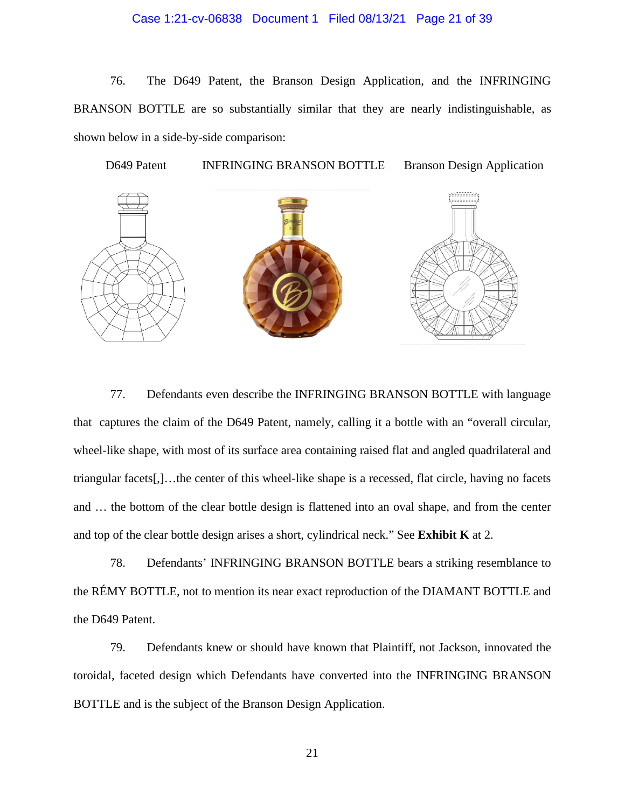#### Case 1:21-cv-06838 Document 1 Filed 08/13/21 Page 21 of 39

76. The D649 Patent, the Branson Design Application, and the INFRINGING BRANSON BOTTLE are so substantially similar that they are nearly indistinguishable, as shown below in a side-by-side comparison:

D649 Patent INFRINGING BRANSON BOTTLE Branson Design Application



77. Defendants even describe the INFRINGING BRANSON BOTTLE with language that captures the claim of the D649 Patent, namely, calling it a bottle with an "overall circular, wheel-like shape, with most of its surface area containing raised flat and angled quadrilateral and triangular facets[,]…the center of this wheel-like shape is a recessed, flat circle, having no facets and … the bottom of the clear bottle design is flattened into an oval shape, and from the center and top of the clear bottle design arises a short, cylindrical neck." See **Exhibit K** at 2.

78. Defendants' INFRINGING BRANSON BOTTLE bears a striking resemblance to the RÉMY BOTTLE, not to mention its near exact reproduction of the DIAMANT BOTTLE and the D649 Patent.

79. Defendants knew or should have known that Plaintiff, not Jackson, innovated the toroidal, faceted design which Defendants have converted into the INFRINGING BRANSON BOTTLE and is the subject of the Branson Design Application.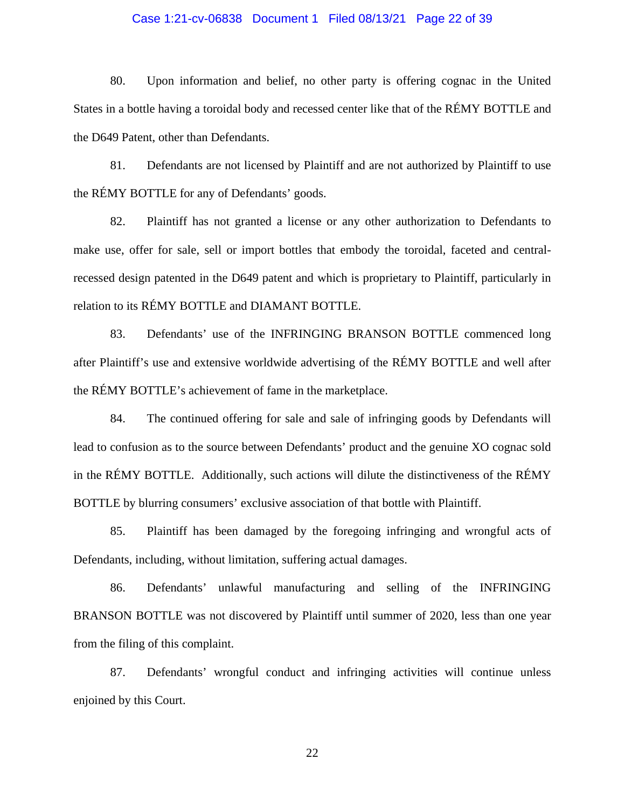### Case 1:21-cv-06838 Document 1 Filed 08/13/21 Page 22 of 39

80. Upon information and belief, no other party is offering cognac in the United States in a bottle having a toroidal body and recessed center like that of the RÉMY BOTTLE and the D649 Patent, other than Defendants.

81. Defendants are not licensed by Plaintiff and are not authorized by Plaintiff to use the RÉMY BOTTLE for any of Defendants' goods.

82. Plaintiff has not granted a license or any other authorization to Defendants to make use, offer for sale, sell or import bottles that embody the toroidal, faceted and centralrecessed design patented in the D649 patent and which is proprietary to Plaintiff, particularly in relation to its RÉMY BOTTLE and DIAMANT BOTTLE.

83. Defendants' use of the INFRINGING BRANSON BOTTLE commenced long after Plaintiff's use and extensive worldwide advertising of the RÉMY BOTTLE and well after the RÉMY BOTTLE's achievement of fame in the marketplace.

84. The continued offering for sale and sale of infringing goods by Defendants will lead to confusion as to the source between Defendants' product and the genuine XO cognac sold in the RÉMY BOTTLE. Additionally, such actions will dilute the distinctiveness of the RÉMY BOTTLE by blurring consumers' exclusive association of that bottle with Plaintiff.

85. Plaintiff has been damaged by the foregoing infringing and wrongful acts of Defendants, including, without limitation, suffering actual damages.

86. Defendants' unlawful manufacturing and selling of the INFRINGING BRANSON BOTTLE was not discovered by Plaintiff until summer of 2020, less than one year from the filing of this complaint.

87. Defendants' wrongful conduct and infringing activities will continue unless enjoined by this Court.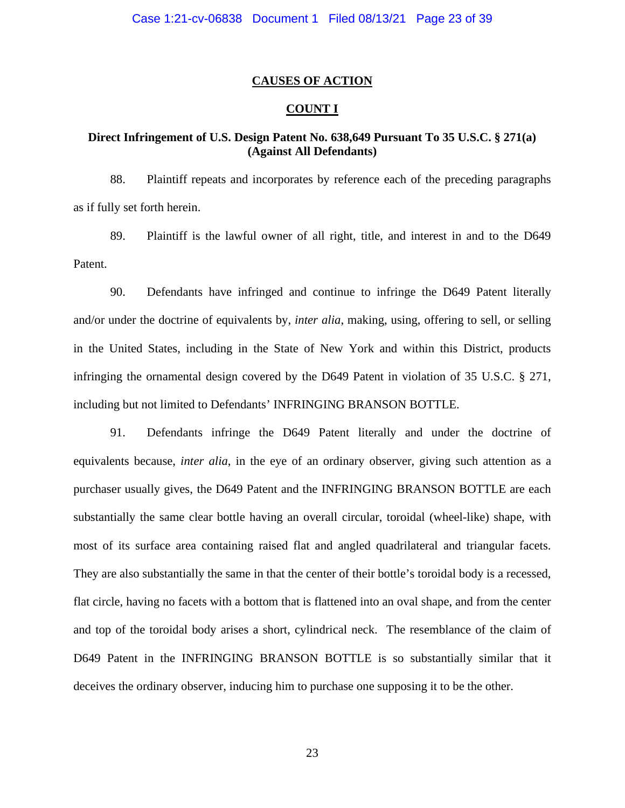### **CAUSES OF ACTION**

### **COUNT I**

# **Direct Infringement of U.S. Design Patent No. 638,649 Pursuant To 35 U.S.C. § 271(a) (Against All Defendants)**

88. Plaintiff repeats and incorporates by reference each of the preceding paragraphs as if fully set forth herein.

89. Plaintiff is the lawful owner of all right, title, and interest in and to the D649 Patent.

90. Defendants have infringed and continue to infringe the D649 Patent literally and/or under the doctrine of equivalents by, *inter alia*, making, using, offering to sell, or selling in the United States, including in the State of New York and within this District, products infringing the ornamental design covered by the D649 Patent in violation of 35 U.S.C. § 271, including but not limited to Defendants' INFRINGING BRANSON BOTTLE.

91. Defendants infringe the D649 Patent literally and under the doctrine of equivalents because, *inter alia*, in the eye of an ordinary observer, giving such attention as a purchaser usually gives, the D649 Patent and the INFRINGING BRANSON BOTTLE are each substantially the same clear bottle having an overall circular, toroidal (wheel-like) shape, with most of its surface area containing raised flat and angled quadrilateral and triangular facets. They are also substantially the same in that the center of their bottle's toroidal body is a recessed, flat circle, having no facets with a bottom that is flattened into an oval shape, and from the center and top of the toroidal body arises a short, cylindrical neck. The resemblance of the claim of D649 Patent in the INFRINGING BRANSON BOTTLE is so substantially similar that it deceives the ordinary observer, inducing him to purchase one supposing it to be the other.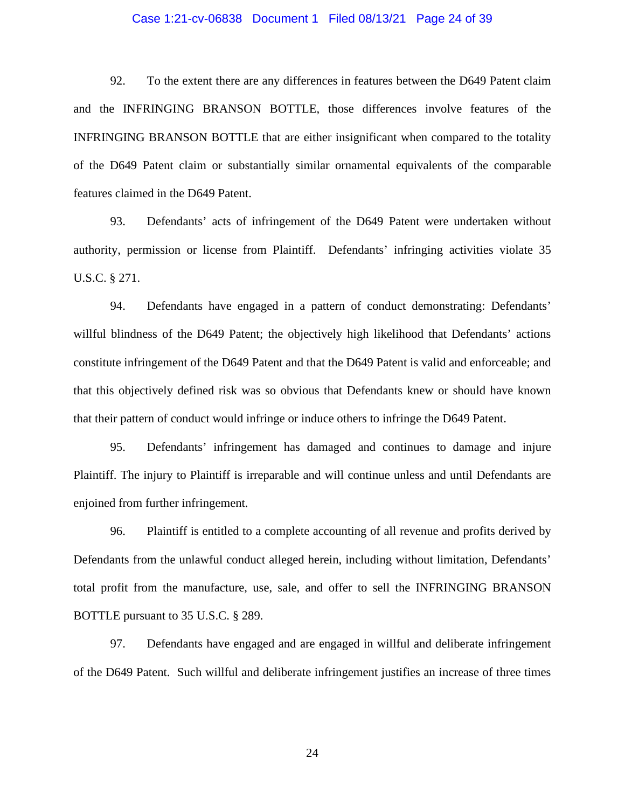#### Case 1:21-cv-06838 Document 1 Filed 08/13/21 Page 24 of 39

92. To the extent there are any differences in features between the D649 Patent claim and the INFRINGING BRANSON BOTTLE, those differences involve features of the INFRINGING BRANSON BOTTLE that are either insignificant when compared to the totality of the D649 Patent claim or substantially similar ornamental equivalents of the comparable features claimed in the D649 Patent.

93. Defendants' acts of infringement of the D649 Patent were undertaken without authority, permission or license from Plaintiff. Defendants' infringing activities violate 35 U.S.C. § 271.

94. Defendants have engaged in a pattern of conduct demonstrating: Defendants' willful blindness of the D649 Patent; the objectively high likelihood that Defendants' actions constitute infringement of the D649 Patent and that the D649 Patent is valid and enforceable; and that this objectively defined risk was so obvious that Defendants knew or should have known that their pattern of conduct would infringe or induce others to infringe the D649 Patent.

95. Defendants' infringement has damaged and continues to damage and injure Plaintiff. The injury to Plaintiff is irreparable and will continue unless and until Defendants are enjoined from further infringement.

96. Plaintiff is entitled to a complete accounting of all revenue and profits derived by Defendants from the unlawful conduct alleged herein, including without limitation, Defendants' total profit from the manufacture, use, sale, and offer to sell the INFRINGING BRANSON BOTTLE pursuant to 35 U.S.C. § 289.

97. Defendants have engaged and are engaged in willful and deliberate infringement of the D649 Patent. Such willful and deliberate infringement justifies an increase of three times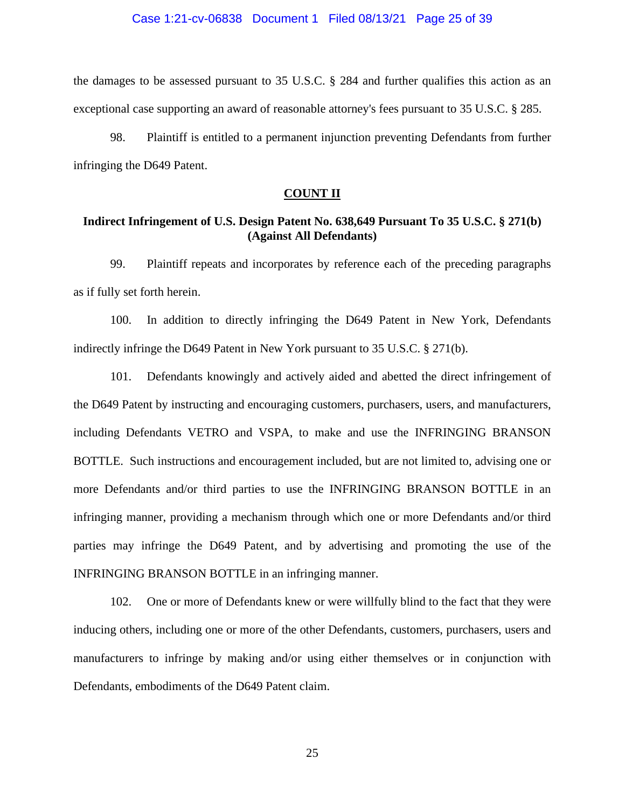#### Case 1:21-cv-06838 Document 1 Filed 08/13/21 Page 25 of 39

the damages to be assessed pursuant to 35 U.S.C. § 284 and further qualifies this action as an exceptional case supporting an award of reasonable attorney's fees pursuant to 35 U.S.C. § 285.

98. Plaintiff is entitled to a permanent injunction preventing Defendants from further infringing the D649 Patent.

### **COUNT II**

# **Indirect Infringement of U.S. Design Patent No. 638,649 Pursuant To 35 U.S.C. § 271(b) (Against All Defendants)**

99. Plaintiff repeats and incorporates by reference each of the preceding paragraphs as if fully set forth herein.

100. In addition to directly infringing the D649 Patent in New York, Defendants indirectly infringe the D649 Patent in New York pursuant to 35 U.S.C. § 271(b).

101. Defendants knowingly and actively aided and abetted the direct infringement of the D649 Patent by instructing and encouraging customers, purchasers, users, and manufacturers, including Defendants VETRO and VSPA, to make and use the INFRINGING BRANSON BOTTLE. Such instructions and encouragement included, but are not limited to, advising one or more Defendants and/or third parties to use the INFRINGING BRANSON BOTTLE in an infringing manner, providing a mechanism through which one or more Defendants and/or third parties may infringe the D649 Patent, and by advertising and promoting the use of the INFRINGING BRANSON BOTTLE in an infringing manner.

102. One or more of Defendants knew or were willfully blind to the fact that they were inducing others, including one or more of the other Defendants, customers, purchasers, users and manufacturers to infringe by making and/or using either themselves or in conjunction with Defendants, embodiments of the D649 Patent claim.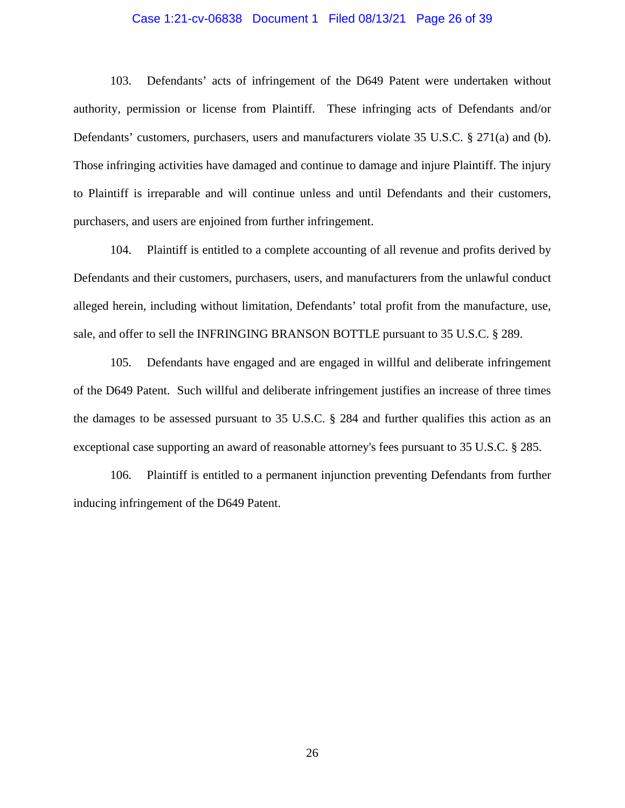#### Case 1:21-cv-06838 Document 1 Filed 08/13/21 Page 26 of 39

103. Defendants' acts of infringement of the D649 Patent were undertaken without authority, permission or license from Plaintiff. These infringing acts of Defendants and/or Defendants' customers, purchasers, users and manufacturers violate 35 U.S.C. § 271(a) and (b). Those infringing activities have damaged and continue to damage and injure Plaintiff. The injury to Plaintiff is irreparable and will continue unless and until Defendants and their customers, purchasers, and users are enjoined from further infringement.

104. Plaintiff is entitled to a complete accounting of all revenue and profits derived by Defendants and their customers, purchasers, users, and manufacturers from the unlawful conduct alleged herein, including without limitation, Defendants' total profit from the manufacture, use, sale, and offer to sell the INFRINGING BRANSON BOTTLE pursuant to 35 U.S.C. § 289.

105. Defendants have engaged and are engaged in willful and deliberate infringement of the D649 Patent. Such willful and deliberate infringement justifies an increase of three times the damages to be assessed pursuant to 35 U.S.C. § 284 and further qualifies this action as an exceptional case supporting an award of reasonable attorney's fees pursuant to 35 U.S.C. § 285.

106. Plaintiff is entitled to a permanent injunction preventing Defendants from further inducing infringement of the D649 Patent.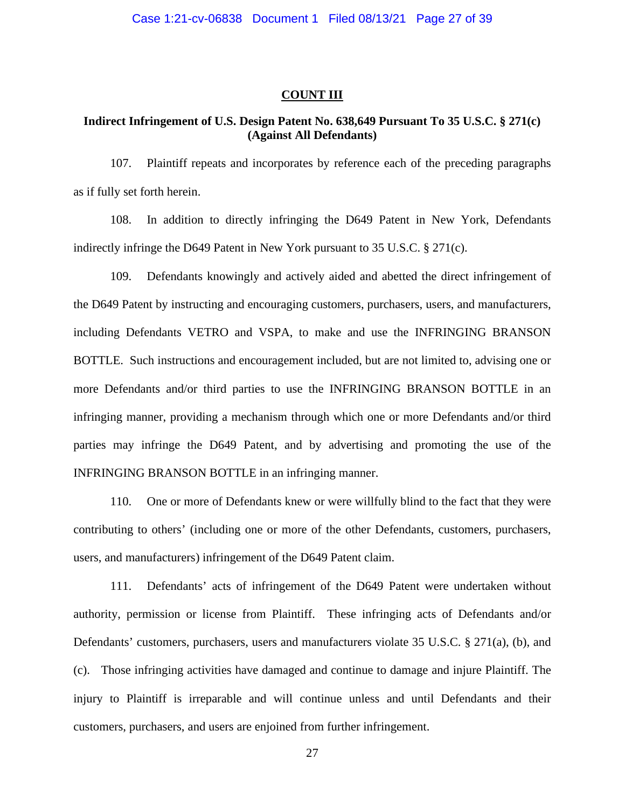#### **COUNT III**

# **Indirect Infringement of U.S. Design Patent No. 638,649 Pursuant To 35 U.S.C. § 271(c) (Against All Defendants)**

107. Plaintiff repeats and incorporates by reference each of the preceding paragraphs as if fully set forth herein.

108. In addition to directly infringing the D649 Patent in New York, Defendants indirectly infringe the D649 Patent in New York pursuant to 35 U.S.C. § 271(c).

109. Defendants knowingly and actively aided and abetted the direct infringement of the D649 Patent by instructing and encouraging customers, purchasers, users, and manufacturers, including Defendants VETRO and VSPA, to make and use the INFRINGING BRANSON BOTTLE. Such instructions and encouragement included, but are not limited to, advising one or more Defendants and/or third parties to use the INFRINGING BRANSON BOTTLE in an infringing manner, providing a mechanism through which one or more Defendants and/or third parties may infringe the D649 Patent, and by advertising and promoting the use of the INFRINGING BRANSON BOTTLE in an infringing manner.

110. One or more of Defendants knew or were willfully blind to the fact that they were contributing to others' (including one or more of the other Defendants, customers, purchasers, users, and manufacturers) infringement of the D649 Patent claim.

111. Defendants' acts of infringement of the D649 Patent were undertaken without authority, permission or license from Plaintiff. These infringing acts of Defendants and/or Defendants' customers, purchasers, users and manufacturers violate 35 U.S.C. § 271(a), (b), and (c). Those infringing activities have damaged and continue to damage and injure Plaintiff. The injury to Plaintiff is irreparable and will continue unless and until Defendants and their customers, purchasers, and users are enjoined from further infringement.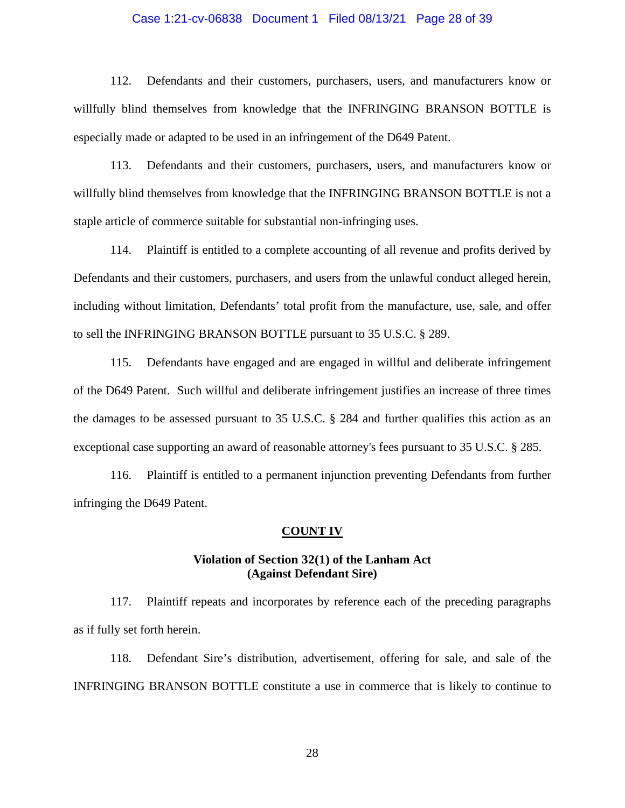#### Case 1:21-cv-06838 Document 1 Filed 08/13/21 Page 28 of 39

112. Defendants and their customers, purchasers, users, and manufacturers know or willfully blind themselves from knowledge that the INFRINGING BRANSON BOTTLE is especially made or adapted to be used in an infringement of the D649 Patent.

113. Defendants and their customers, purchasers, users, and manufacturers know or willfully blind themselves from knowledge that the INFRINGING BRANSON BOTTLE is not a staple article of commerce suitable for substantial non-infringing uses.

114. Plaintiff is entitled to a complete accounting of all revenue and profits derived by Defendants and their customers, purchasers, and users from the unlawful conduct alleged herein, including without limitation, Defendants' total profit from the manufacture, use, sale, and offer to sell the INFRINGING BRANSON BOTTLE pursuant to 35 U.S.C. § 289.

115. Defendants have engaged and are engaged in willful and deliberate infringement of the D649 Patent. Such willful and deliberate infringement justifies an increase of three times the damages to be assessed pursuant to 35 U.S.C. § 284 and further qualifies this action as an exceptional case supporting an award of reasonable attorney's fees pursuant to 35 U.S.C. § 285.

116. Plaintiff is entitled to a permanent injunction preventing Defendants from further infringing the D649 Patent.

### **COUNT IV**

# **Violation of Section 32(1) of the Lanham Act (Against Defendant Sire)**

117. Plaintiff repeats and incorporates by reference each of the preceding paragraphs as if fully set forth herein.

118. Defendant Sire's distribution, advertisement, offering for sale, and sale of the INFRINGING BRANSON BOTTLE constitute a use in commerce that is likely to continue to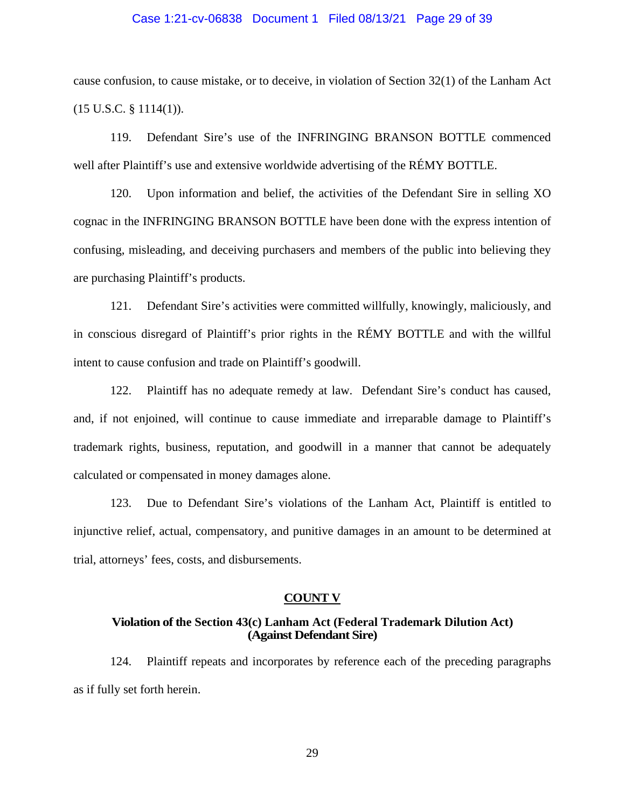#### Case 1:21-cv-06838 Document 1 Filed 08/13/21 Page 29 of 39

cause confusion, to cause mistake, or to deceive, in violation of Section 32(1) of the Lanham Act  $(15 \text{ U.S.C. } § 1114(1)).$ 

119. Defendant Sire's use of the INFRINGING BRANSON BOTTLE commenced well after Plaintiff's use and extensive worldwide advertising of the RÉMY BOTTLE.

120. Upon information and belief, the activities of the Defendant Sire in selling XO cognac in the INFRINGING BRANSON BOTTLE have been done with the express intention of confusing, misleading, and deceiving purchasers and members of the public into believing they are purchasing Plaintiff's products.

121. Defendant Sire's activities were committed willfully, knowingly, maliciously, and in conscious disregard of Plaintiff's prior rights in the RÉMY BOTTLE and with the willful intent to cause confusion and trade on Plaintiff's goodwill.

122. Plaintiff has no adequate remedy at law. Defendant Sire's conduct has caused, and, if not enjoined, will continue to cause immediate and irreparable damage to Plaintiff's trademark rights, business, reputation, and goodwill in a manner that cannot be adequately calculated or compensated in money damages alone.

123. Due to Defendant Sire's violations of the Lanham Act, Plaintiff is entitled to injunctive relief, actual, compensatory, and punitive damages in an amount to be determined at trial, attorneys' fees, costs, and disbursements.

#### **COUNT V**

## **Violation of the Section 43(c) Lanham Act (Federal Trademark Dilution Act) (Against Defendant Sire)**

124. Plaintiff repeats and incorporates by reference each of the preceding paragraphs as if fully set forth herein.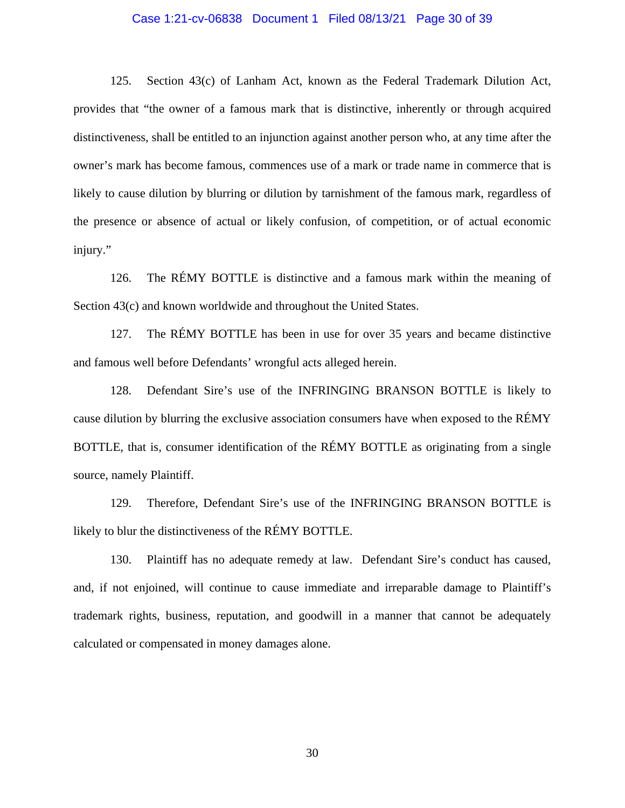#### Case 1:21-cv-06838 Document 1 Filed 08/13/21 Page 30 of 39

125. Section 43(c) of Lanham Act, known as the Federal Trademark Dilution Act, provides that "the owner of a famous mark that is distinctive, inherently or through acquired distinctiveness, shall be entitled to an injunction against another person who, at any time after the owner's mark has become famous, commences use of a mark or trade name in commerce that is likely to cause dilution by blurring or dilution by tarnishment of the famous mark, regardless of the presence or absence of actual or likely confusion, of competition, or of actual economic injury."

126. The RÉMY BOTTLE is distinctive and a famous mark within the meaning of Section 43(c) and known worldwide and throughout the United States.

127. The RÉMY BOTTLE has been in use for over 35 years and became distinctive and famous well before Defendants' wrongful acts alleged herein.

128. Defendant Sire's use of the INFRINGING BRANSON BOTTLE is likely to cause dilution by blurring the exclusive association consumers have when exposed to the RÉMY BOTTLE, that is, consumer identification of the RÉMY BOTTLE as originating from a single source, namely Plaintiff.

129. Therefore, Defendant Sire's use of the INFRINGING BRANSON BOTTLE is likely to blur the distinctiveness of the RÉMY BOTTLE.

130. Plaintiff has no adequate remedy at law. Defendant Sire's conduct has caused, and, if not enjoined, will continue to cause immediate and irreparable damage to Plaintiff's trademark rights, business, reputation, and goodwill in a manner that cannot be adequately calculated or compensated in money damages alone.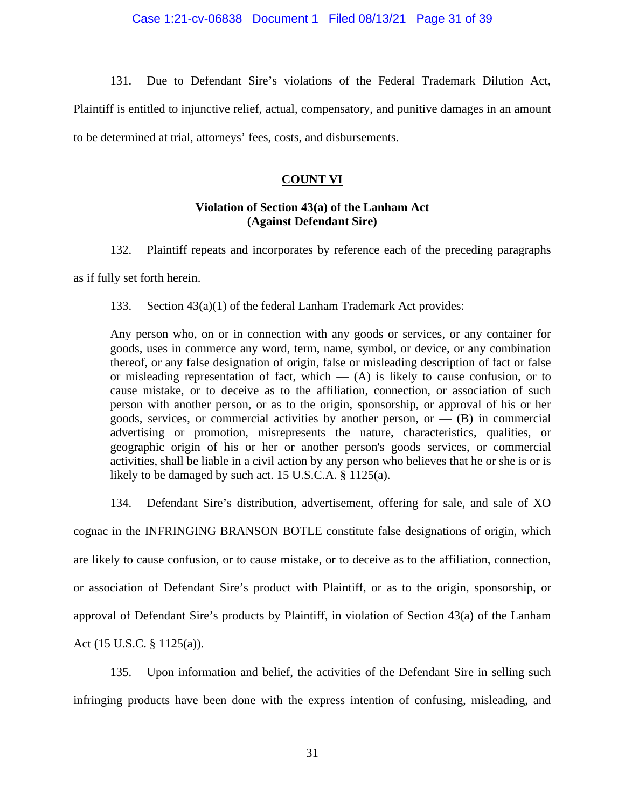131. Due to Defendant Sire's violations of the Federal Trademark Dilution Act,

Plaintiff is entitled to injunctive relief, actual, compensatory, and punitive damages in an amount to be determined at trial, attorneys' fees, costs, and disbursements.

# **COUNT VI**

# **Violation of Section 43(a) of the Lanham Act (Against Defendant Sire)**

132. Plaintiff repeats and incorporates by reference each of the preceding paragraphs

as if fully set forth herein.

133. Section 43(a)(1) of the federal Lanham Trademark Act provides:

Any person who, on or in connection with any goods or services, or any container for goods, uses in commerce any word, term, name, symbol, or device, or any combination thereof, or any false designation of origin, false or misleading description of fact or false or misleading representation of fact, which  $-$  (A) is likely to cause confusion, or to cause mistake, or to deceive as to the affiliation, connection, or association of such person with another person, or as to the origin, sponsorship, or approval of his or her goods, services, or commercial activities by another person, or  $-$  (B) in commercial advertising or promotion, misrepresents the nature, characteristics, qualities, or geographic origin of his or her or another person's goods services, or commercial activities, shall be liable in a civil action by any person who believes that he or she is or is likely to be damaged by such act. 15 U.S.C.A. § 1125(a).

134. Defendant Sire's distribution, advertisement, offering for sale, and sale of XO cognac in the INFRINGING BRANSON BOTLE constitute false designations of origin, which are likely to cause confusion, or to cause mistake, or to deceive as to the affiliation, connection, or association of Defendant Sire's product with Plaintiff, or as to the origin, sponsorship, or approval of Defendant Sire's products by Plaintiff, in violation of Section 43(a) of the Lanham Act (15 U.S.C. § 1125(a)).

135. Upon information and belief, the activities of the Defendant Sire in selling such infringing products have been done with the express intention of confusing, misleading, and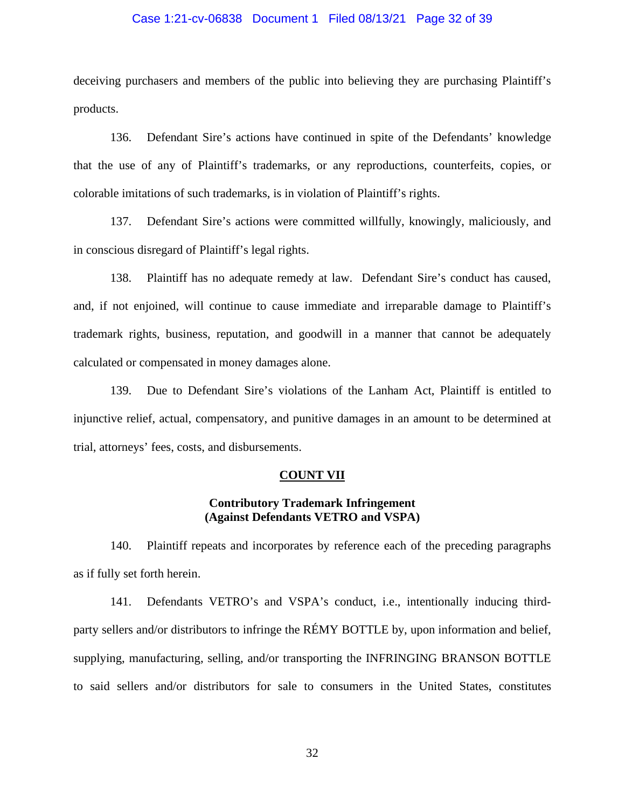#### Case 1:21-cv-06838 Document 1 Filed 08/13/21 Page 32 of 39

deceiving purchasers and members of the public into believing they are purchasing Plaintiff's products.

136. Defendant Sire's actions have continued in spite of the Defendants' knowledge that the use of any of Plaintiff's trademarks, or any reproductions, counterfeits, copies, or colorable imitations of such trademarks, is in violation of Plaintiff's rights.

137. Defendant Sire's actions were committed willfully, knowingly, maliciously, and in conscious disregard of Plaintiff's legal rights.

138. Plaintiff has no adequate remedy at law. Defendant Sire's conduct has caused, and, if not enjoined, will continue to cause immediate and irreparable damage to Plaintiff's trademark rights, business, reputation, and goodwill in a manner that cannot be adequately calculated or compensated in money damages alone.

139. Due to Defendant Sire's violations of the Lanham Act, Plaintiff is entitled to injunctive relief, actual, compensatory, and punitive damages in an amount to be determined at trial, attorneys' fees, costs, and disbursements.

### **COUNT VII**

# **Contributory Trademark Infringement (Against Defendants VETRO and VSPA)**

140. Plaintiff repeats and incorporates by reference each of the preceding paragraphs as if fully set forth herein.

141. Defendants VETRO's and VSPA's conduct, i.e., intentionally inducing thirdparty sellers and/or distributors to infringe the RÉMY BOTTLE by, upon information and belief, supplying, manufacturing, selling, and/or transporting the INFRINGING BRANSON BOTTLE to said sellers and/or distributors for sale to consumers in the United States, constitutes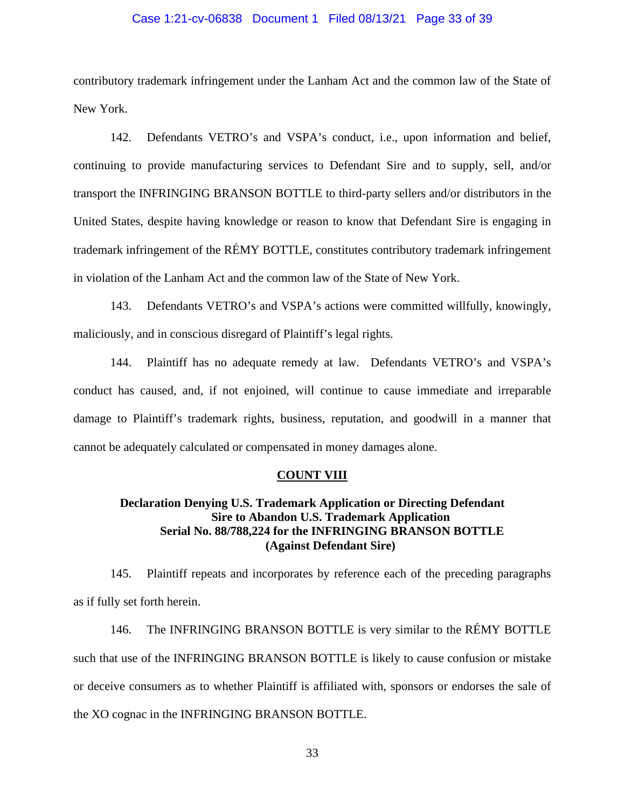#### Case 1:21-cv-06838 Document 1 Filed 08/13/21 Page 33 of 39

contributory trademark infringement under the Lanham Act and the common law of the State of New York.

142. Defendants VETRO's and VSPA's conduct, i.e., upon information and belief, continuing to provide manufacturing services to Defendant Sire and to supply, sell, and/or transport the INFRINGING BRANSON BOTTLE to third-party sellers and/or distributors in the United States, despite having knowledge or reason to know that Defendant Sire is engaging in trademark infringement of the RÉMY BOTTLE, constitutes contributory trademark infringement in violation of the Lanham Act and the common law of the State of New York.

143. Defendants VETRO's and VSPA's actions were committed willfully, knowingly, maliciously, and in conscious disregard of Plaintiff's legal rights.

144. Plaintiff has no adequate remedy at law. Defendants VETRO's and VSPA's conduct has caused, and, if not enjoined, will continue to cause immediate and irreparable damage to Plaintiff's trademark rights, business, reputation, and goodwill in a manner that cannot be adequately calculated or compensated in money damages alone.

#### **COUNT VIII**

# **Declaration Denying U.S. Trademark Application or Directing Defendant Sire to Abandon U.S. Trademark Application Serial No. 88/788,224 for the INFRINGING BRANSON BOTTLE (Against Defendant Sire)**

145. Plaintiff repeats and incorporates by reference each of the preceding paragraphs as if fully set forth herein.

146. The INFRINGING BRANSON BOTTLE is very similar to the RÉMY BOTTLE such that use of the INFRINGING BRANSON BOTTLE is likely to cause confusion or mistake or deceive consumers as to whether Plaintiff is affiliated with, sponsors or endorses the sale of the XO cognac in the INFRINGING BRANSON BOTTLE.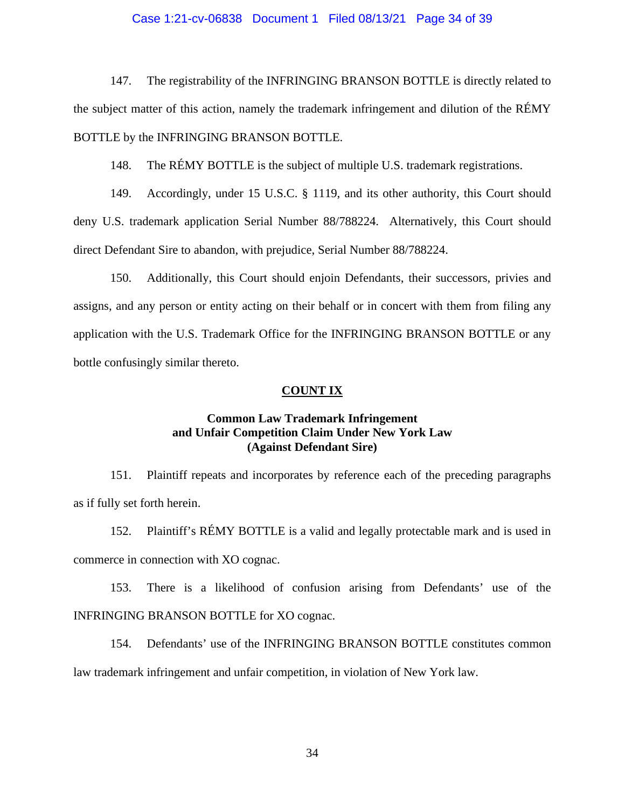#### Case 1:21-cv-06838 Document 1 Filed 08/13/21 Page 34 of 39

147. The registrability of the INFRINGING BRANSON BOTTLE is directly related to the subject matter of this action, namely the trademark infringement and dilution of the RÉMY BOTTLE by the INFRINGING BRANSON BOTTLE.

148. The RÉMY BOTTLE is the subject of multiple U.S. trademark registrations.

149. Accordingly, under 15 U.S.C. § 1119, and its other authority, this Court should deny U.S. trademark application Serial Number 88/788224. Alternatively, this Court should direct Defendant Sire to abandon, with prejudice, Serial Number 88/788224.

150. Additionally, this Court should enjoin Defendants, their successors, privies and assigns, and any person or entity acting on their behalf or in concert with them from filing any application with the U.S. Trademark Office for the INFRINGING BRANSON BOTTLE or any bottle confusingly similar thereto.

#### **COUNT IX**

# **Common Law Trademark Infringement and Unfair Competition Claim Under New York Law (Against Defendant Sire)**

151. Plaintiff repeats and incorporates by reference each of the preceding paragraphs as if fully set forth herein.

152. Plaintiff's RÉMY BOTTLE is a valid and legally protectable mark and is used in commerce in connection with XO cognac.

153. There is a likelihood of confusion arising from Defendants' use of the INFRINGING BRANSON BOTTLE for XO cognac.

154. Defendants' use of the INFRINGING BRANSON BOTTLE constitutes common law trademark infringement and unfair competition, in violation of New York law.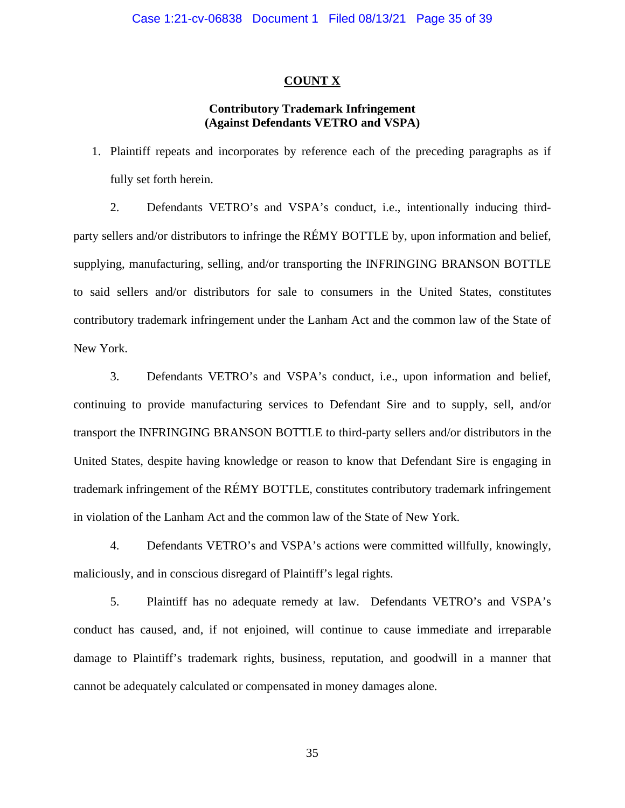### **COUNT X**

# **Contributory Trademark Infringement (Against Defendants VETRO and VSPA)**

1. Plaintiff repeats and incorporates by reference each of the preceding paragraphs as if fully set forth herein.

2. Defendants VETRO's and VSPA's conduct, i.e., intentionally inducing thirdparty sellers and/or distributors to infringe the RÉMY BOTTLE by, upon information and belief, supplying, manufacturing, selling, and/or transporting the INFRINGING BRANSON BOTTLE to said sellers and/or distributors for sale to consumers in the United States, constitutes contributory trademark infringement under the Lanham Act and the common law of the State of New York.

3. Defendants VETRO's and VSPA's conduct, i.e., upon information and belief, continuing to provide manufacturing services to Defendant Sire and to supply, sell, and/or transport the INFRINGING BRANSON BOTTLE to third-party sellers and/or distributors in the United States, despite having knowledge or reason to know that Defendant Sire is engaging in trademark infringement of the RÉMY BOTTLE, constitutes contributory trademark infringement in violation of the Lanham Act and the common law of the State of New York.

4. Defendants VETRO's and VSPA's actions were committed willfully, knowingly, maliciously, and in conscious disregard of Plaintiff's legal rights.

5. Plaintiff has no adequate remedy at law. Defendants VETRO's and VSPA's conduct has caused, and, if not enjoined, will continue to cause immediate and irreparable damage to Plaintiff's trademark rights, business, reputation, and goodwill in a manner that cannot be adequately calculated or compensated in money damages alone.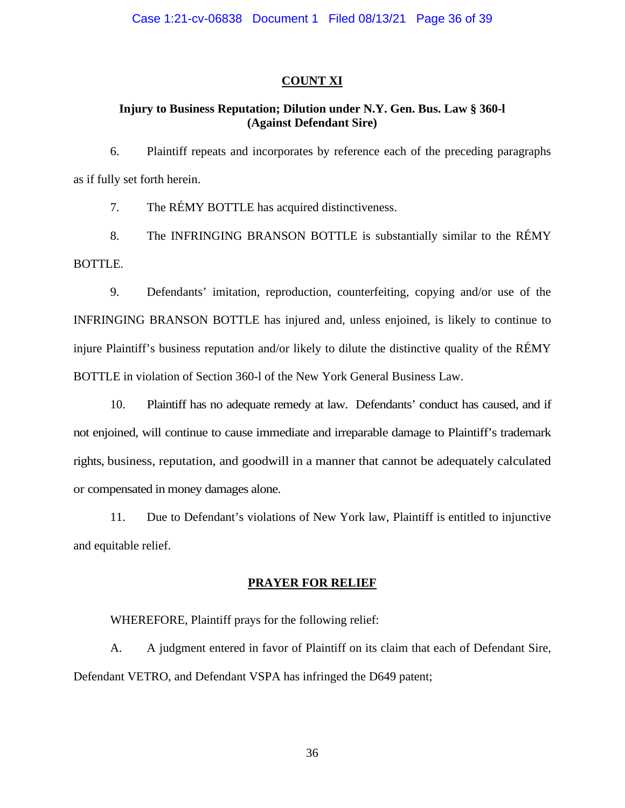### **COUNT XI**

# **Injury to Business Reputation; Dilution under N.Y. Gen. Bus. Law § 360-l (Against Defendant Sire)**

6. Plaintiff repeats and incorporates by reference each of the preceding paragraphs as if fully set forth herein.

7. The RÉMY BOTTLE has acquired distinctiveness.

8. The INFRINGING BRANSON BOTTLE is substantially similar to the RÉMY BOTTLE.

9. Defendants' imitation, reproduction, counterfeiting, copying and/or use of the INFRINGING BRANSON BOTTLE has injured and, unless enjoined, is likely to continue to injure Plaintiff's business reputation and/or likely to dilute the distinctive quality of the RÉMY BOTTLE in violation of Section 360-l of the New York General Business Law.

10. Plaintiff has no adequate remedy at law. Defendants' conduct has caused, and if not enjoined, will continue to cause immediate and irreparable damage to Plaintiff's trademark rights, business, reputation, and goodwill in a manner that cannot be adequately calculated or compensated in money damages alone.

11. Due to Defendant's violations of New York law, Plaintiff is entitled to injunctive and equitable relief.

### **PRAYER FOR RELIEF**

WHEREFORE, Plaintiff prays for the following relief:

A. A judgment entered in favor of Plaintiff on its claim that each of Defendant Sire, Defendant VETRO, and Defendant VSPA has infringed the D649 patent;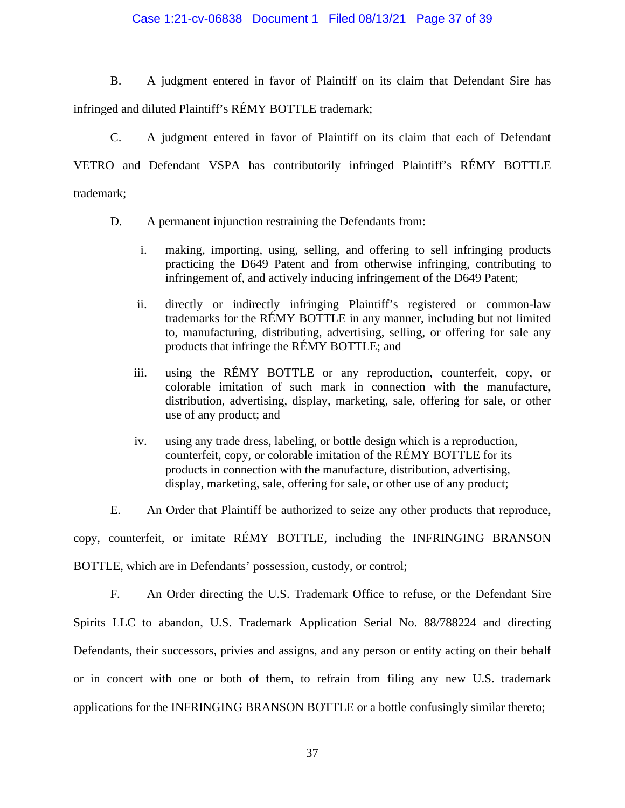### Case 1:21-cv-06838 Document 1 Filed 08/13/21 Page 37 of 39

B. A judgment entered in favor of Plaintiff on its claim that Defendant Sire has infringed and diluted Plaintiff's RÉMY BOTTLE trademark;

C. A judgment entered in favor of Plaintiff on its claim that each of Defendant VETRO and Defendant VSPA has contributorily infringed Plaintiff's RÉMY BOTTLE trademark;

- D. A permanent injunction restraining the Defendants from:
	- i. making, importing, using, selling, and offering to sell infringing products practicing the D649 Patent and from otherwise infringing, contributing to infringement of, and actively inducing infringement of the D649 Patent;
	- ii. directly or indirectly infringing Plaintiff's registered or common-law trademarks for the RÉMY BOTTLE in any manner, including but not limited to, manufacturing, distributing, advertising, selling, or offering for sale any products that infringe the RÉMY BOTTLE; and
	- iii. using the RÉMY BOTTLE or any reproduction, counterfeit, copy, or colorable imitation of such mark in connection with the manufacture, distribution, advertising, display, marketing, sale, offering for sale, or other use of any product; and
	- iv. using any trade dress, labeling, or bottle design which is a reproduction, counterfeit, copy, or colorable imitation of the RÉMY BOTTLE for its products in connection with the manufacture, distribution, advertising, display, marketing, sale, offering for sale, or other use of any product;

E. An Order that Plaintiff be authorized to seize any other products that reproduce, copy, counterfeit, or imitate RÉMY BOTTLE, including the INFRINGING BRANSON BOTTLE, which are in Defendants' possession, custody, or control;

F. An Order directing the U.S. Trademark Office to refuse, or the Defendant Sire Spirits LLC to abandon, U.S. Trademark Application Serial No. 88/788224 and directing Defendants, their successors, privies and assigns, and any person or entity acting on their behalf or in concert with one or both of them, to refrain from filing any new U.S. trademark applications for the INFRINGING BRANSON BOTTLE or a bottle confusingly similar thereto;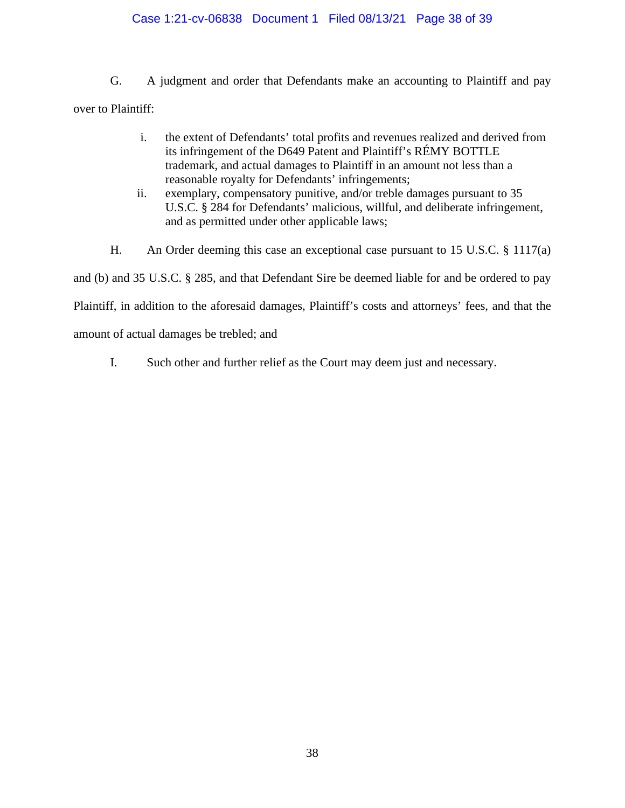# Case 1:21-cv-06838 Document 1 Filed 08/13/21 Page 38 of 39

G. A judgment and order that Defendants make an accounting to Plaintiff and pay over to Plaintiff:

- i. the extent of Defendants' total profits and revenues realized and derived from its infringement of the D649 Patent and Plaintiff's RÉMY BOTTLE trademark, and actual damages to Plaintiff in an amount not less than a reasonable royalty for Defendants' infringements;
- ii. exemplary, compensatory punitive, and/or treble damages pursuant to 35 U.S.C. § 284 for Defendants' malicious, willful, and deliberate infringement, and as permitted under other applicable laws;

H. An Order deeming this case an exceptional case pursuant to 15 U.S.C. § 1117(a) and (b) and 35 U.S.C. § 285, and that Defendant Sire be deemed liable for and be ordered to pay Plaintiff, in addition to the aforesaid damages, Plaintiff's costs and attorneys' fees, and that the amount of actual damages be trebled; and

I. Such other and further relief as the Court may deem just and necessary.